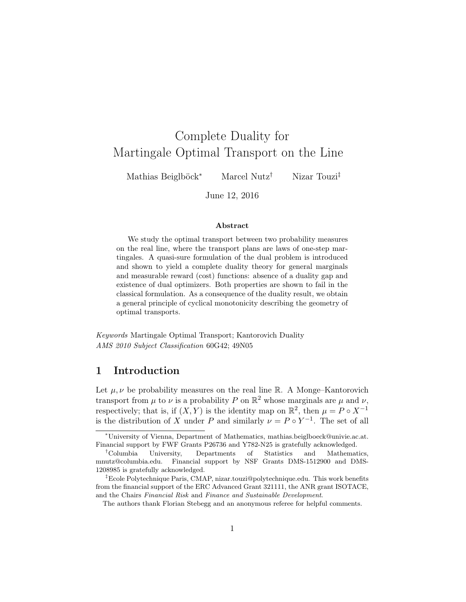# Complete Duality for Martingale Optimal Transport on the Line

Mathias Beiglböck<sup>∗</sup> Marcel Nutz† Nizar Touzi‡

June 12, 2016

#### Abstract

We study the optimal transport between two probability measures on the real line, where the transport plans are laws of one-step martingales. A quasi-sure formulation of the dual problem is introduced and shown to yield a complete duality theory for general marginals and measurable reward (cost) functions: absence of a duality gap and existence of dual optimizers. Both properties are shown to fail in the classical formulation. As a consequence of the duality result, we obtain a general principle of cyclical monotonicity describing the geometry of optimal transports.

Keywords Martingale Optimal Transport; Kantorovich Duality AMS 2010 Subject Classification 60G42; 49N05

# <span id="page-0-0"></span>1 Introduction

Let  $\mu, \nu$  be probability measures on the real line R. A Monge–Kantorovich transport from  $\mu$  to  $\nu$  is a probability P on  $\mathbb{R}^2$  whose marginals are  $\mu$  and  $\nu$ , respectively; that is, if  $(X, Y)$  is the identity map on  $\mathbb{R}^2$ , then  $\mu = P \circ X^{-1}$ is the distribution of X under P and similarly  $\nu = P \circ Y^{-1}$ . The set of all

<sup>∗</sup>University of Vienna, Department of Mathematics, mathias.beiglboeck@univie.ac.at. Financial support by FWF Grants P26736 and Y782-N25 is gratefully acknowledged.

<sup>†</sup>Columbia University, Departments of Statistics and Mathematics, mnutz@columbia.edu. Financial support by NSF Grants DMS-1512900 and DMS-1208985 is gratefully acknowledged.

<sup>‡</sup>Ecole Polytechnique Paris, CMAP, nizar.touzi@polytechnique.edu. This work benefits from the financial support of the ERC Advanced Grant 321111, the ANR grant ISOTACE, and the Chairs Financial Risk and Finance and Sustainable Development.

The authors thank Florian Stebegg and an anonymous referee for helpful comments.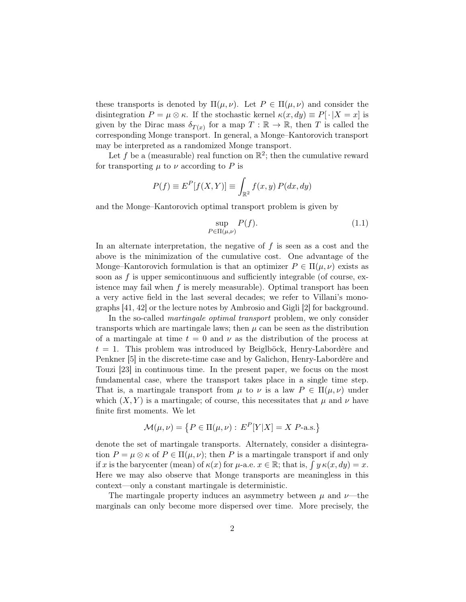these transports is denoted by  $\Pi(\mu, \nu)$ . Let  $P \in \Pi(\mu, \nu)$  and consider the disintegration  $P = \mu \otimes \kappa$ . If the stochastic kernel  $\kappa(x, dy) \equiv P[\cdot | X = x]$  is given by the Dirac mass  $\delta_{T(x)}$  for a map  $T : \mathbb{R} \to \mathbb{R}$ , then T is called the corresponding Monge transport. In general, a Monge–Kantorovich transport may be interpreted as a randomized Monge transport.

Let f be a (measurable) real function on  $\mathbb{R}^2$ ; then the cumulative reward for transporting  $\mu$  to  $\nu$  according to P is

$$
P(f) \equiv E^{P}[f(X, Y)] \equiv \int_{\mathbb{R}^{2}} f(x, y) P(dx, dy)
$$

and the Monge–Kantorovich optimal transport problem is given by

<span id="page-1-0"></span>
$$
\sup_{P \in \Pi(\mu,\nu)} P(f). \tag{1.1}
$$

In an alternate interpretation, the negative of  $f$  is seen as a cost and the above is the minimization of the cumulative cost. One advantage of the Monge–Kantorovich formulation is that an optimizer  $P \in \Pi(\mu, \nu)$  exists as soon as  $f$  is upper semicontinuous and sufficiently integrable (of course, existence may fail when  $f$  is merely measurable). Optimal transport has been a very active field in the last several decades; we refer to Villani's monographs [\[41,](#page-41-0) [42\]](#page-41-1) or the lecture notes by Ambrosio and Gigli [\[2\]](#page-39-0) for background.

In the so-called *martingale optimal transport* problem, we only consider transports which are martingale laws; then  $\mu$  can be seen as the distribution of a martingale at time  $t = 0$  and  $\nu$  as the distribution of the process at  $t = 1$ . This problem was introduced by Beiglböck, Henry-Labordère and Penkner [\[5\]](#page-39-1) in the discrete-time case and by Galichon, Henry-Labordère and Touzi [\[23\]](#page-40-0) in continuous time. In the present paper, we focus on the most fundamental case, where the transport takes place in a single time step. That is, a martingale transport from  $\mu$  to  $\nu$  is a law  $P \in \Pi(\mu, \nu)$  under which  $(X, Y)$  is a martingale; of course, this necessitates that  $\mu$  and  $\nu$  have finite first moments. We let

$$
\mathcal{M}(\mu, \nu) = \{ P \in \Pi(\mu, \nu) : E^{P}[Y|X] = X \; P\text{-a.s.} \}
$$

denote the set of martingale transports. Alternately, consider a disintegration  $P = \mu \otimes \kappa$  of  $P \in \Pi(\mu, \nu)$ ; then P is a martingale transport if and only if x is the barycenter (mean) of  $\kappa(x)$  for  $\mu$ -a.e.  $x \in \mathbb{R}$ ; that is,  $\int y \kappa(x, dy) = x$ . Here we may also observe that Monge transports are meaningless in this context—only a constant martingale is deterministic.

The martingale property induces an asymmetry between  $\mu$  and  $\nu$ —the marginals can only become more dispersed over time. More precisely, the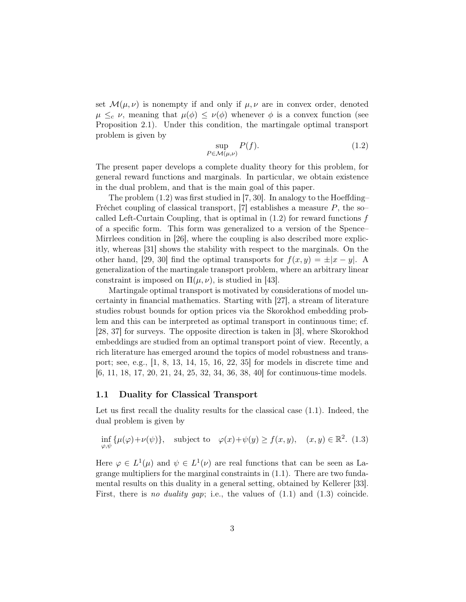set  $\mathcal{M}(\mu, \nu)$  is nonempty if and only if  $\mu, \nu$  are in convex order, denoted  $\mu \leq_c \nu$ , meaning that  $\mu(\phi) \leq \nu(\phi)$  whenever  $\phi$  is a convex function (see Proposition [2.1\)](#page-6-0). Under this condition, the martingale optimal transport problem is given by

<span id="page-2-0"></span>
$$
\sup_{P \in \mathcal{M}(\mu,\nu)} P(f). \tag{1.2}
$$

The present paper develops a complete duality theory for this problem, for general reward functions and marginals. In particular, we obtain existence in the dual problem, and that is the main goal of this paper.

The problem [\(1.2\)](#page-2-0) was first studied in [\[7,](#page-39-2) [30\]](#page-40-1). In analogy to the Hoeffding– Fréchet coupling of classical transport, [\[7\]](#page-39-2) establishes a measure  $P$ , the socalled Left-Curtain Coupling, that is optimal in  $(1.2)$  for reward functions f of a specific form. This form was generalized to a version of the Spence– Mirrlees condition in [\[26\]](#page-40-2), where the coupling is also described more explicitly, whereas [\[31\]](#page-40-3) shows the stability with respect to the marginals. On the other hand, [\[29,](#page-40-4) [30\]](#page-40-1) find the optimal transports for  $f(x, y) = \pm |x - y|$ . A generalization of the martingale transport problem, where an arbitrary linear constraint is imposed on  $\Pi(\mu, \nu)$ , is studied in [\[43\]](#page-41-2).

Martingale optimal transport is motivated by considerations of model uncertainty in financial mathematics. Starting with [\[27\]](#page-40-5), a stream of literature studies robust bounds for option prices via the Skorokhod embedding problem and this can be interpreted as optimal transport in continuous time; cf. [\[28,](#page-40-6) [37\]](#page-41-3) for surveys. The opposite direction is taken in [\[3\]](#page-39-3), where Skorokhod embeddings are studied from an optimal transport point of view. Recently, a rich literature has emerged around the topics of model robustness and transport; see, e.g., [\[1,](#page-38-0) [8,](#page-39-4) [13,](#page-39-5) [14,](#page-39-6) [15,](#page-39-7) [16,](#page-39-8) [22,](#page-40-7) [35\]](#page-41-4) for models in discrete time and [\[6,](#page-39-9) [11,](#page-39-10) [18,](#page-39-11) [17,](#page-39-12) [20,](#page-40-8) [21,](#page-40-9) [24,](#page-40-10) [25,](#page-40-11) [32,](#page-40-12) [34,](#page-40-13) [36,](#page-41-5) [38,](#page-41-6) [40\]](#page-41-7) for continuous-time models.

#### 1.1 Duality for Classical Transport

Let us first recall the duality results for the classical case  $(1.1)$ . Indeed, the dual problem is given by

<span id="page-2-1"></span>
$$
\inf_{\varphi,\psi} \{ \mu(\varphi) + \nu(\psi) \}, \quad \text{subject to} \quad \varphi(x) + \psi(y) \ge f(x,y), \quad (x,y) \in \mathbb{R}^2. \tag{1.3}
$$

Here  $\varphi \in L^1(\mu)$  and  $\psi \in L^1(\nu)$  are real functions that can be seen as Lagrange multipliers for the marginal constraints in [\(1.1\)](#page-1-0). There are two fundamental results on this duality in a general setting, obtained by Kellerer [\[33\]](#page-40-14). First, there is no duality gap; i.e., the values of  $(1.1)$  and  $(1.3)$  coincide.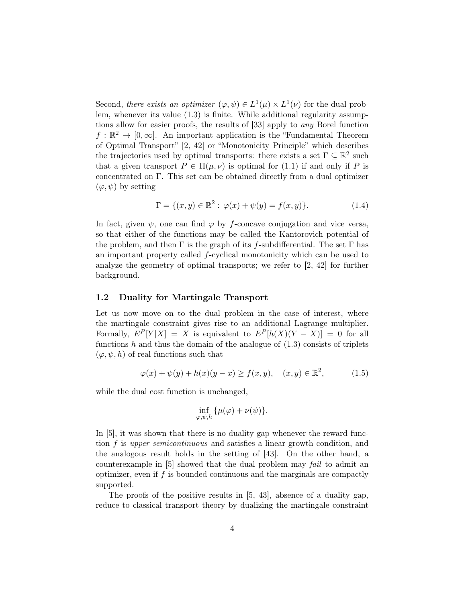Second, there exists an optimizer  $(\varphi, \psi) \in L^1(\mu) \times L^1(\nu)$  for the dual problem, whenever its value [\(1.3\)](#page-2-1) is finite. While additional regularity assumptions allow for easier proofs, the results of [\[33\]](#page-40-14) apply to any Borel function  $f: \mathbb{R}^2 \to [0, \infty]$ . An important application is the "Fundamental Theorem of Optimal Transport" [\[2,](#page-39-0) [42\]](#page-41-1) or "Monotonicity Principle" which describes the trajectories used by optimal transports: there exists a set  $\Gamma \subseteq \mathbb{R}^2$  such that a given transport  $P \in \Pi(\mu, \nu)$  is optimal for [\(1.1\)](#page-1-0) if and only if P is concentrated on Γ. This set can be obtained directly from a dual optimizer  $(\varphi, \psi)$  by setting

<span id="page-3-1"></span>
$$
\Gamma = \{(x, y) \in \mathbb{R}^2 : \varphi(x) + \psi(y) = f(x, y)\}.
$$
 (1.4)

In fact, given  $\psi$ , one can find  $\varphi$  by f-concave conjugation and vice versa, so that either of the functions may be called the Kantorovich potential of the problem, and then  $\Gamma$  is the graph of its f-subdifferential. The set  $\Gamma$  has an important property called f-cyclical monotonicity which can be used to analyze the geometry of optimal transports; we refer to [\[2,](#page-39-0) [42\]](#page-41-1) for further background.

#### 1.2 Duality for Martingale Transport

Let us now move on to the dual problem in the case of interest, where the martingale constraint gives rise to an additional Lagrange multiplier. Formally,  $E^P[Y|X] = X$  is equivalent to  $E^P[h(X)(Y - X)] = 0$  for all functions  $h$  and thus the domain of the analogue of  $(1.3)$  consists of triplets  $(\varphi, \psi, h)$  of real functions such that

<span id="page-3-0"></span>
$$
\varphi(x) + \psi(y) + h(x)(y - x) \ge f(x, y), \quad (x, y) \in \mathbb{R}^2,
$$
 (1.5)

while the dual cost function is unchanged,

$$
\inf_{\varphi,\psi,h}\{\mu(\varphi)+\nu(\psi)\}.
$$

In [\[5\]](#page-39-1), it was shown that there is no duality gap whenever the reward function f is upper semicontinuous and satisfies a linear growth condition, and the analogous result holds in the setting of [\[43\]](#page-41-2). On the other hand, a counterexample in [\[5\]](#page-39-1) showed that the dual problem may fail to admit an optimizer, even if  $f$  is bounded continuous and the marginals are compactly supported.

The proofs of the positive results in  $[5, 43]$  $[5, 43]$ , absence of a duality gap, reduce to classical transport theory by dualizing the martingale constraint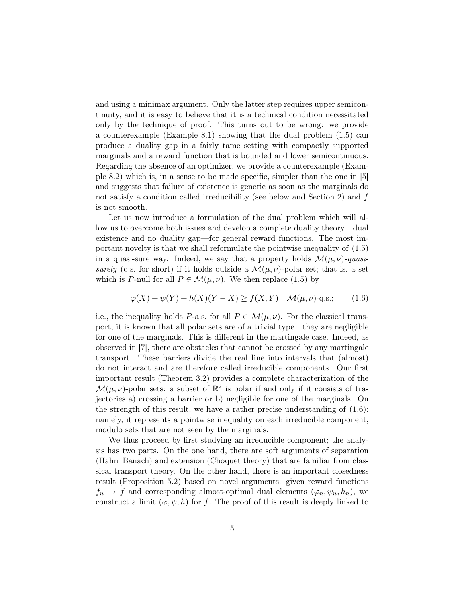and using a minimax argument. Only the latter step requires upper semicontinuity, and it is easy to believe that it is a technical condition necessitated only by the technique of proof. This turns out to be wrong: we provide a counterexample (Example [8.1\)](#page-32-0) showing that the dual problem [\(1.5\)](#page-3-0) can produce a duality gap in a fairly tame setting with compactly supported marginals and a reward function that is bounded and lower semicontinuous. Regarding the absence of an optimizer, we provide a counterexample (Example [8.2\)](#page-33-0) which is, in a sense to be made specific, simpler than the one in [\[5\]](#page-39-1) and suggests that failure of existence is generic as soon as the marginals do not satisfy a condition called irreducibility (see below and Section [2\)](#page-6-1) and f is not smooth.

Let us now introduce a formulation of the dual problem which will allow us to overcome both issues and develop a complete duality theory—dual existence and no duality gap—for general reward functions. The most important novelty is that we shall reformulate the pointwise inequality of [\(1.5\)](#page-3-0) in a quasi-sure way. Indeed, we say that a property holds  $\mathcal{M}(\mu, \nu)$ -quasisurely (q.s. for short) if it holds outside a  $\mathcal{M}(\mu, \nu)$ -polar set; that is, a set which is P-null for all  $P \in \mathcal{M}(\mu, \nu)$ . We then replace [\(1.5\)](#page-3-0) by

<span id="page-4-0"></span>
$$
\varphi(X) + \psi(Y) + h(X)(Y - X) \ge f(X, Y) \quad \mathcal{M}(\mu, \nu) - \text{q.s.};\tag{1.6}
$$

i.e., the inequality holds P-a.s. for all  $P \in \mathcal{M}(\mu, \nu)$ . For the classical transport, it is known that all polar sets are of a trivial type—they are negligible for one of the marginals. This is different in the martingale case. Indeed, as observed in [\[7\]](#page-39-2), there are obstacles that cannot be crossed by any martingale transport. These barriers divide the real line into intervals that (almost) do not interact and are therefore called irreducible components. Our first important result (Theorem [3.2\)](#page-9-0) provides a complete characterization of the  $\mathcal{M}(\mu, \nu)$ -polar sets: a subset of  $\mathbb{R}^2$  is polar if and only if it consists of trajectories a) crossing a barrier or b) negligible for one of the marginals. On the strength of this result, we have a rather precise understanding of [\(1.6\)](#page-4-0); namely, it represents a pointwise inequality on each irreducible component, modulo sets that are not seen by the marginals.

We thus proceed by first studying an irreducible component; the analysis has two parts. On the one hand, there are soft arguments of separation (Hahn–Banach) and extension (Choquet theory) that are familiar from classical transport theory. On the other hand, there is an important closedness result (Proposition [5.2\)](#page-17-0) based on novel arguments: given reward functions  $f_n \to f$  and corresponding almost-optimal dual elements  $(\varphi_n, \psi_n, h_n)$ , we construct a limit  $(\varphi, \psi, h)$  for f. The proof of this result is deeply linked to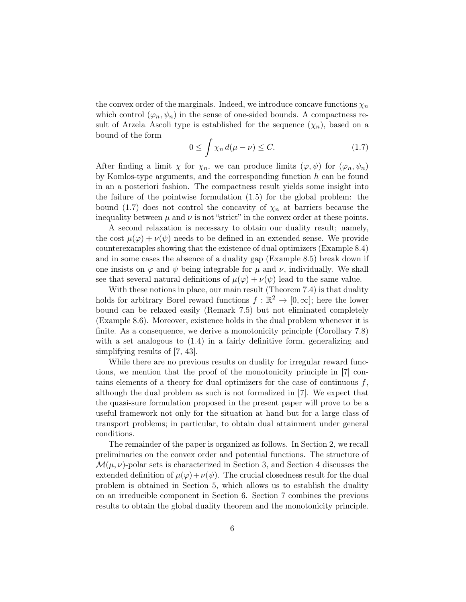the convex order of the marginals. Indeed, we introduce concave functions  $\chi_n$ which control  $(\varphi_n, \psi_n)$  in the sense of one-sided bounds. A compactness result of Arzela–Ascoli type is established for the sequence  $(\chi_n)$ , based on a bound of the form

<span id="page-5-0"></span>
$$
0 \le \int \chi_n \, d(\mu - \nu) \le C. \tag{1.7}
$$

After finding a limit  $\chi$  for  $\chi_n$ , we can produce limits  $(\varphi, \psi)$  for  $(\varphi_n, \psi_n)$ by Komlos-type arguments, and the corresponding function  $h$  can be found in an a posteriori fashion. The compactness result yields some insight into the failure of the pointwise formulation [\(1.5\)](#page-3-0) for the global problem: the bound [\(1.7\)](#page-5-0) does not control the concavity of  $\chi_n$  at barriers because the inequality between  $\mu$  and  $\nu$  is not "strict" in the convex order at these points.

A second relaxation is necessary to obtain our duality result; namely, the cost  $\mu(\varphi) + \nu(\psi)$  needs to be defined in an extended sense. We provide counterexamples showing that the existence of dual optimizers (Example [8.4\)](#page-34-0) and in some cases the absence of a duality gap (Example [8.5\)](#page-36-0) break down if one insists on  $\varphi$  and  $\psi$  being integrable for  $\mu$  and  $\nu$ , individually. We shall see that several natural definitions of  $\mu(\varphi) + \nu(\psi)$  lead to the same value.

With these notions in place, our main result (Theorem [7.4\)](#page-27-0) is that duality holds for arbitrary Borel reward functions  $f : \mathbb{R}^2 \to [0, \infty]$ ; here the lower bound can be relaxed easily (Remark [7.5\)](#page-28-0) but not eliminated completely (Example [8.6\)](#page-37-0). Moreover, existence holds in the dual problem whenever it is finite. As a consequence, we derive a monotonicity principle (Corollary [7.8\)](#page-29-0) with a set analogous to  $(1.4)$  in a fairly definitive form, generalizing and simplifying results of [\[7,](#page-39-2) [43\]](#page-41-2).

While there are no previous results on duality for irregular reward functions, we mention that the proof of the monotonicity principle in [\[7\]](#page-39-2) contains elements of a theory for dual optimizers for the case of continuous  $f$ , although the dual problem as such is not formalized in [\[7\]](#page-39-2). We expect that the quasi-sure formulation proposed in the present paper will prove to be a useful framework not only for the situation at hand but for a large class of transport problems; in particular, to obtain dual attainment under general conditions.

The remainder of the paper is organized as follows. In Section [2,](#page-6-1) we recall preliminaries on the convex order and potential functions. The structure of  $\mathcal{M}(\mu, \nu)$ -polar sets is characterized in Section [3,](#page-7-0) and Section [4](#page-11-0) discusses the extended definition of  $\mu(\varphi)+\nu(\psi)$ . The crucial closedness result for the dual problem is obtained in Section [5,](#page-16-0) which allows us to establish the duality on an irreducible component in Section [6.](#page-21-0) Section [7](#page-25-0) combines the previous results to obtain the global duality theorem and the monotonicity principle.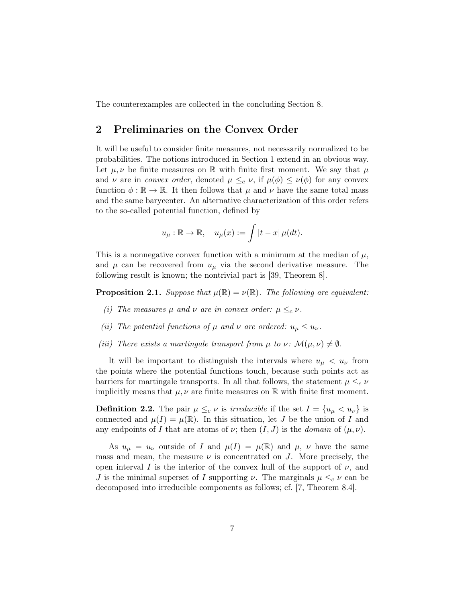The counterexamples are collected in the concluding Section [8.](#page-31-0)

# <span id="page-6-1"></span>2 Preliminaries on the Convex Order

It will be useful to consider finite measures, not necessarily normalized to be probabilities. The notions introduced in Section [1](#page-0-0) extend in an obvious way. Let  $\mu, \nu$  be finite measures on R with finite first moment. We say that  $\mu$ and  $\nu$  are in *convex order*, denoted  $\mu \leq_c \nu$ , if  $\mu(\phi) \leq \nu(\phi)$  for any convex function  $\phi : \mathbb{R} \to \mathbb{R}$ . It then follows that  $\mu$  and  $\nu$  have the same total mass and the same barycenter. An alternative characterization of this order refers to the so-called potential function, defined by

$$
u_{\mu} : \mathbb{R} \to \mathbb{R}, \quad u_{\mu}(x) := \int |t - x| \mu(dt).
$$

This is a nonnegative convex function with a minimum at the median of  $\mu$ , and  $\mu$  can be recovered from  $u_{\mu}$  via the second derivative measure. The following result is known; the nontrivial part is [\[39,](#page-41-8) Theorem 8].

<span id="page-6-0"></span>**Proposition 2.1.** Suppose that  $\mu(\mathbb{R}) = \nu(\mathbb{R})$ . The following are equivalent:

- (i) The measures  $\mu$  and  $\nu$  are in convex order:  $\mu \leq_c \nu$ .
- (ii) The potential functions of  $\mu$  and  $\nu$  are ordered:  $u_{\mu} \leq u_{\nu}$ .
- (iii) There exists a martingale transport from  $\mu$  to  $\nu \colon \mathcal{M}(\mu, \nu) \neq \emptyset$ .

It will be important to distinguish the intervals where  $u_{\mu} < u_{\nu}$  from the points where the potential functions touch, because such points act as barriers for martingale transports. In all that follows, the statement  $\mu \leq_c \nu$ implicitly means that  $\mu, \nu$  are finite measures on R with finite first moment.

**Definition 2.2.** The pair  $\mu \leq_c \nu$  is *irreducible* if the set  $I = \{u_\mu < u_\nu\}$  is connected and  $\mu(I) = \mu(\mathbb{R})$ . In this situation, let J be the union of I and any endpoints of I that are atoms of  $\nu$ ; then  $(I, J)$  is the *domain* of  $(\mu, \nu)$ .

As  $u_{\mu} = u_{\nu}$  outside of I and  $\mu(I) = \mu(\mathbb{R})$  and  $\mu, \nu$  have the same mass and mean, the measure  $\nu$  is concentrated on J. More precisely, the open interval I is the interior of the convex hull of the support of  $\nu$ , and J is the minimal superset of I supporting  $\nu$ . The marginals  $\mu \leq_c \nu$  can be decomposed into irreducible components as follows; cf. [\[7,](#page-39-2) Theorem 8.4].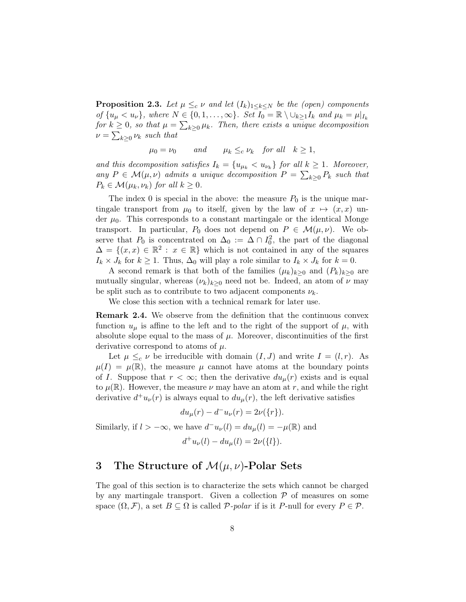<span id="page-7-2"></span>**Proposition 2.3.** Let  $\mu \leq_c \nu$  and let  $(I_k)_{1 \leq k \leq N}$  be the (open) components of  $\{u_\mu < u_\nu\}$ , where  $N \in \{0, 1, \ldots, \infty\}$ . Set  $I_0 = \mathbb{R} \setminus \bigcup_{k>1} I_k$  and  $\mu_k = \mu|_{I_k}$ for  $k \geq 0$ , so that  $\mu = \sum_{k \geq 0} \mu_k$ . Then, there exists a unique decomposition  $\nu = \sum_{k \geq 0} \nu_k$  such that

 $\mu_0 = \nu_0$  and  $\mu_k \leq_c \nu_k$  for all  $k \geq 1$ ,

and this decomposition satisfies  $I_k = \{u_{\mu_k} < u_{\nu_k}\}\$  for all  $k \geq 1$ . Moreover, any  $P \in \mathcal{M}(\mu, \nu)$  admits a unique decomposition  $P = \sum_{k \geq 0} P_k$  such that  $P_k \in \mathcal{M}(\mu_k, \nu_k)$  for all  $k \geq 0$ .

The index 0 is special in the above: the measure  $P_0$  is the unique martingale transport from  $\mu_0$  to itself, given by the law of  $x \mapsto (x, x)$  under  $\mu_0$ . This corresponds to a constant martingale or the identical Monge transport. In particular,  $P_0$  does not depend on  $P \in \mathcal{M}(\mu, \nu)$ . We observe that  $P_0$  is concentrated on  $\Delta_0 := \Delta \cap I_0^2$ , the part of the diagonal  $\Delta = \{(x, x) \in \mathbb{R}^2 : x \in \mathbb{R}\}\$  which is not contained in any of the squares  $I_k \times J_k$  for  $k \geq 1$ . Thus,  $\Delta_0$  will play a role similar to  $I_k \times J_k$  for  $k = 0$ .

A second remark is that both of the families  $(\mu_k)_{k\geq 0}$  and  $(P_k)_{k\geq 0}$  are mutually singular, whereas  $(\nu_k)_{k\geq 0}$  need not be. Indeed, an atom of  $\nu$  may be split such as to contribute to two adjacent components  $\nu_k$ .

We close this section with a technical remark for later use.

<span id="page-7-1"></span>Remark 2.4. We observe from the definition that the continuous convex function  $u_{\mu}$  is affine to the left and to the right of the support of  $\mu$ , with absolute slope equal to the mass of  $\mu$ . Moreover, discontinuities of the first derivative correspond to atoms of  $\mu$ .

Let  $\mu \leq_c \nu$  be irreducible with domain  $(I, J)$  and write  $I = (l, r)$ . As  $\mu(I) = \mu(\mathbb{R})$ , the measure  $\mu$  cannot have atoms at the boundary points of I. Suppose that  $r < \infty$ ; then the derivative  $du_{\mu}(r)$  exists and is equal to  $\mu(\mathbb{R})$ . However, the measure  $\nu$  may have an atom at r, and while the right derivative  $d^+u_\nu(r)$  is always equal to  $du_\mu(r)$ , the left derivative satisfies

$$
du_{\mu}(r) - d^{-}u_{\nu}(r) = 2\nu({r}).
$$
  
Similarly, if  $l > -\infty$ , we have  $d^{-}u_{\nu}(l) = du_{\mu}(l) = -\mu(\mathbb{R})$  and  

$$
d^{+}u_{\nu}(l) - du_{\mu}(l) = 2\nu({l}).
$$

### <span id="page-7-0"></span>3 The Structure of  $\mathcal{M}(\mu, \nu)$ -Polar Sets

The goal of this section is to characterize the sets which cannot be charged by any martingale transport. Given a collection  $P$  of measures on some space  $(\Omega, \mathcal{F})$ , a set  $B \subseteq \Omega$  is called  $\mathcal{P}\text{-}polar$  if is it P-null for every  $P \in \mathcal{P}$ .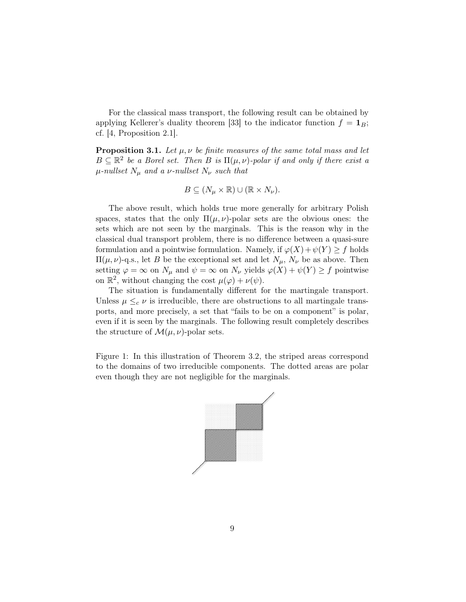For the classical mass transport, the following result can be obtained by applying Kellerer's duality theorem [\[33\]](#page-40-14) to the indicator function  $f = \mathbf{1}_B$ ; cf. [\[4,](#page-39-13) Proposition 2.1].

<span id="page-8-0"></span>**Proposition 3.1.** Let  $\mu$ ,  $\nu$  be finite measures of the same total mass and let  $B \subseteq \mathbb{R}^2$  be a Borel set. Then B is  $\Pi(\mu, \nu)$ -polar if and only if there exist a  $\mu$ -nullset  $N_{\mu}$  and a  $\nu$ -nullset  $N_{\nu}$  such that

$$
B \subseteq (N_{\mu} \times \mathbb{R}) \cup (\mathbb{R} \times N_{\nu}).
$$

The above result, which holds true more generally for arbitrary Polish spaces, states that the only  $\Pi(\mu, \nu)$ -polar sets are the obvious ones: the sets which are not seen by the marginals. This is the reason why in the classical dual transport problem, there is no difference between a quasi-sure formulation and a pointwise formulation. Namely, if  $\varphi(X) + \psi(Y) \geq f$  holds  $\Pi(\mu, \nu)$ -q.s., let B be the exceptional set and let  $N_{\mu}$ ,  $N_{\nu}$  be as above. Then setting  $\varphi = \infty$  on  $N_{\mu}$  and  $\psi = \infty$  on  $N_{\nu}$  yields  $\varphi(X) + \psi(Y) \ge f$  pointwise on  $\mathbb{R}^2$ , without changing the cost  $\mu(\varphi) + \nu(\psi)$ .

The situation is fundamentally different for the martingale transport. Unless  $\mu \leq_c \nu$  is irreducible, there are obstructions to all martingale transports, and more precisely, a set that "fails to be on a component" is polar, even if it is seen by the marginals. The following result completely describes the structure of  $\mathcal{M}(\mu, \nu)$ -polar sets.

Figure 1: In this illustration of Theorem [3.2,](#page-9-0) the striped areas correspond to the domains of two irreducible components. The dotted areas are polar even though they are not negligible for the marginals.

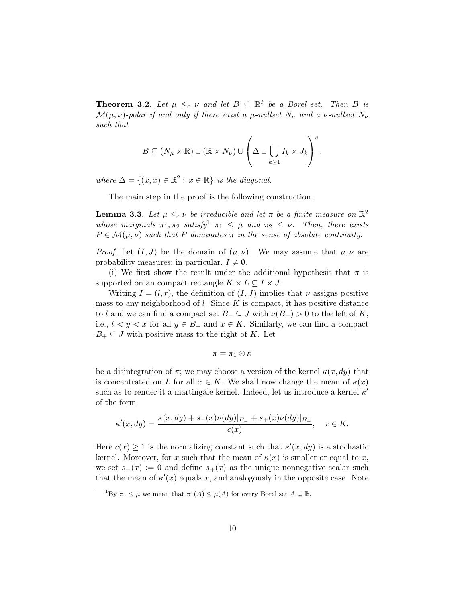<span id="page-9-0"></span>**Theorem 3.2.** Let  $\mu \leq_c \nu$  and let  $B \subseteq \mathbb{R}^2$  be a Borel set. Then B is  $\mathcal{M}(\mu, \nu)$ -polar if and only if there exist a  $\mu$ -nullset  $N_{\mu}$  and a  $\nu$ -nullset  $N_{\nu}$ such that

$$
B \subseteq (N_{\mu} \times \mathbb{R}) \cup (\mathbb{R} \times N_{\nu}) \cup \left(\Delta \cup \bigcup_{k \geq 1} I_k \times J_k\right)^c,
$$

where  $\Delta = \{(x, x) \in \mathbb{R}^2 : x \in \mathbb{R}\}\$ is the diagonal.

The main step in the proof is the following construction.

**Lemma 3.3.** Let  $\mu \leq_c \nu$  be irreducible and let  $\pi$  be a finite measure on  $\mathbb{R}^2$ whose marginals  $\pi_1, \pi_2$  $\pi_1, \pi_2$  $\pi_1, \pi_2$  satisfy<sup>1</sup>  $\pi_1 \leq \mu$  and  $\pi_2 \leq \nu$ . Then, there exists  $P \in \mathcal{M}(\mu, \nu)$  such that P dominates  $\pi$  in the sense of absolute continuity.

*Proof.* Let  $(I, J)$  be the domain of  $(\mu, \nu)$ . We may assume that  $\mu, \nu$  are probability measures; in particular,  $I \neq \emptyset$ .

(i) We first show the result under the additional hypothesis that  $\pi$  is supported on an compact rectangle  $K \times L \subseteq I \times J$ .

Writing  $I = (l, r)$ , the definition of  $(I, J)$  implies that  $\nu$  assigns positive mass to any neighborhood of  $l$ . Since  $K$  is compact, it has positive distance to l and we can find a compact set  $B_-\subseteq J$  with  $\nu(B_-) > 0$  to the left of K; i.e.,  $l < y < x$  for all  $y \in B_-\$  and  $x \in K$ . Similarly, we can find a compact  $B_+ \subseteq J$  with positive mass to the right of K. Let

$$
\pi=\pi_1\otimes\kappa
$$

be a disintegration of  $\pi$ ; we may choose a version of the kernel  $\kappa(x, dy)$  that is concentrated on L for all  $x \in K$ . We shall now change the mean of  $\kappa(x)$ such as to render it a martingale kernel. Indeed, let us introduce a kernel  $\kappa'$ of the form

$$
\kappa'(x, dy) = \frac{\kappa(x, dy) + s_-(x)\nu(dy)|_{B_-} + s_+(x)\nu(dy)|_{B_+}}{c(x)}, \quad x \in K.
$$

Here  $c(x) \geq 1$  is the normalizing constant such that  $\kappa'(x, dy)$  is a stochastic kernel. Moreover, for x such that the mean of  $\kappa(x)$  is smaller or equal to x, we set  $s_-(x) := 0$  and define  $s_+(x)$  as the unique nonnegative scalar such that the mean of  $\kappa'(x)$  equals x, and analogously in the opposite case. Note

<span id="page-9-1"></span><sup>&</sup>lt;sup>1</sup>By  $\pi_1 \leq \mu$  we mean that  $\pi_1(A) \leq \mu(A)$  for every Borel set  $A \subseteq \mathbb{R}$ .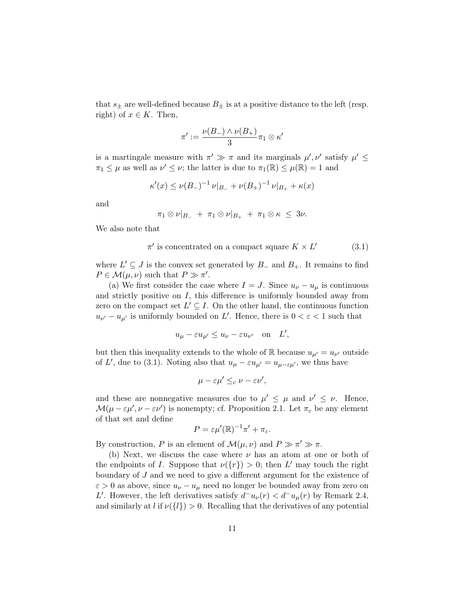that  $s_{\pm}$  are well-defined because  $B_{\pm}$  is at a positive distance to the left (resp. right) of  $x \in K$ . Then,

$$
\pi':=\frac{\nu(B_-)\wedge \nu(B_+)}{3}\pi_1\otimes \kappa'
$$

is a martingale measure with  $\pi' \gg \pi$  and its marginals  $\mu', \nu'$  satisfy  $\mu' \leq$  $\pi_1 \leq \mu$  as well as  $\nu' \leq \nu$ ; the latter is due to  $\pi_1(\mathbb{R}) \leq \mu(\mathbb{R}) = 1$  and

$$
\kappa'(x) \le \nu(B_-)^{-1} \nu|_{B_-} + \nu(B_+)^{-1} \nu|_{B_+} + \kappa(x)
$$

and

$$
\pi_1 \otimes \nu|_{B_-} + \pi_1 \otimes \nu|_{B_+} + \pi_1 \otimes \kappa \leq 3\nu.
$$

We also note that

<span id="page-10-0"></span>
$$
\pi'
$$
 is concentrated on a compact square  $K \times L'$  (3.1)

where  $L' \subseteq J$  is the convex set generated by  $B_-\,$  and  $B_+$ . It remains to find  $P \in \mathcal{M}(\mu, \nu)$  such that  $P \gg \pi'$ .

(a) We first consider the case where  $I = J$ . Since  $u_{\nu} - u_{\mu}$  is continuous and strictly positive on  $I$ , this difference is uniformly bounded away from zero on the compact set  $L' \subseteq I$ . On the other hand, the continuous function  $u_{\nu'} - u_{\mu'}$  is uniformly bounded on L'. Hence, there is  $0 < \varepsilon < 1$  such that

$$
u_{\mu} - \varepsilon u_{\mu'} \le u_{\nu} - \varepsilon u_{\nu'} \quad \text{on} \quad L',
$$

but then this inequality extends to the whole of  $\mathbb R$  because  $u_{\mu'} = u_{\nu'}$  outside of L', due to [\(3.1\)](#page-10-0). Noting also that  $u_{\mu} - \varepsilon u_{\mu'} = u_{\mu - \varepsilon \mu'}$ , we thus have

$$
\mu - \varepsilon \mu' \leq_c \nu - \varepsilon \nu',
$$

and these are nonnegative measures due to  $\mu' \leq \mu$  and  $\nu' \leq \nu$ . Hence,  $\mathcal{M}(\mu - \varepsilon \mu', \nu - \varepsilon \nu')$  is nonempty; cf. Proposition [2.1.](#page-6-0) Let  $\pi_{\varepsilon}$  be any element of that set and define

$$
P = \varepsilon \mu'(\mathbb{R})^{-1} \pi' + \pi_{\varepsilon}.
$$

By construction, P is an element of  $\mathcal{M}(\mu, \nu)$  and  $P \gg \pi' \gg \pi$ .

(b) Next, we discuss the case where  $\nu$  has an atom at one or both of the endpoints of I. Suppose that  $\nu({r}) > 0$ ; then L' may touch the right boundary of  $J$  and we need to give a different argument for the existence of  $\varepsilon > 0$  as above, since  $u_{\nu} - u_{\mu}$  need no longer be bounded away from zero on L'. However, the left derivatives satisfy  $d^-u_\nu(r) < d^-u_\mu(r)$  by Remark [2.4,](#page-7-1) and similarly at l if  $\nu({l}) > 0$ . Recalling that the derivatives of any potential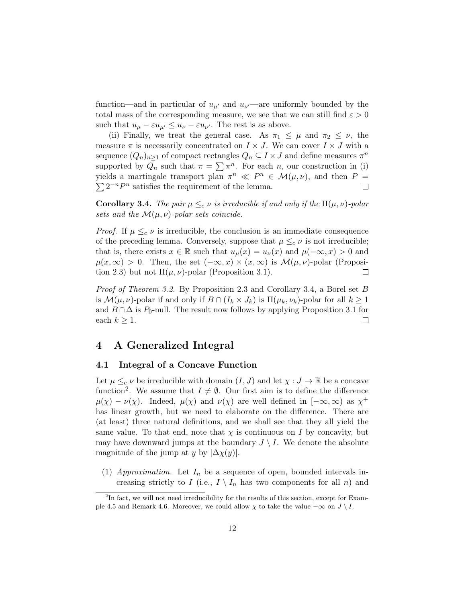function—and in particular of  $u_{\mu'}$  and  $u_{\nu'}$ —are uniformly bounded by the total mass of the corresponding measure, we see that we can still find  $\varepsilon > 0$ such that  $u_{\mu} - \varepsilon u_{\mu'} \leq u_{\nu} - \varepsilon u_{\nu'}$ . The rest is as above.

(ii) Finally, we treat the general case. As  $\pi_1 \leq \mu$  and  $\pi_2 \leq \nu$ , the measure  $\pi$  is necessarily concentrated on  $I \times J$ . We can cover  $I \times J$  with a sequence  $(Q_n)_{n\geq 1}$  of compact rectangles  $Q_n\subseteq I\times J$  and define measures  $\pi^n$ supported by  $Q_n$  such that  $\pi = \sum \pi^n$ . For each n, our construction in (i) yields a martingale transport plan  $\pi^n \ll P^n \in \mathcal{M}(\mu, \nu)$ , and then  $P =$  $\sum 2^{-n}P^n$  satisfies the requirement of the lemma.  $\Box$ 

<span id="page-11-1"></span>**Corollary 3.4.** The pair  $\mu \leq_c \nu$  is irreducible if and only if the  $\Pi(\mu, \nu)$ -polar sets and the  $\mathcal{M}(\mu, \nu)$ -polar sets coincide.

*Proof.* If  $\mu \leq_c \nu$  is irreducible, the conclusion is an immediate consequence of the preceding lemma. Conversely, suppose that  $\mu \leq_c \nu$  is not irreducible; that is, there exists  $x \in \mathbb{R}$  such that  $u_{\mu}(x) = u_{\nu}(x)$  and  $\mu(-\infty, x) > 0$  and  $\mu(x,\infty) > 0$ . Then, the set  $(-\infty,x) \times (x,\infty)$  is  $\mathcal{M}(\mu,\nu)$ -polar (Proposi-tion [2.3\)](#page-7-2) but not  $\Pi(\mu, \nu)$ -polar (Proposition [3.1\)](#page-8-0).  $\Box$ 

Proof of Theorem [3.2.](#page-9-0) By Proposition [2.3](#page-7-2) and Corollary [3.4,](#page-11-1) a Borel set B is  $\mathcal{M}(\mu, \nu)$ -polar if and only if  $B \cap (I_k \times J_k)$  is  $\Pi(\mu_k, \nu_k)$ -polar for all  $k \geq 1$ and  $B \cap \Delta$  is  $P_0$ -null. The result now follows by applying Proposition [3.1](#page-8-0) for each  $k \geq 1$ .  $\Box$ 

# <span id="page-11-0"></span>4 A Generalized Integral

#### 4.1 Integral of a Concave Function

Let  $\mu \leq_c \nu$  be irreducible with domain  $(I, J)$  and let  $\chi : J \to \mathbb{R}$  be a concave function<sup>[2](#page-11-2)</sup>. We assume that  $I \neq \emptyset$ . Our first aim is to define the difference  $\mu(\chi) - \nu(\chi)$ . Indeed,  $\mu(\chi)$  and  $\nu(\chi)$  are well defined in  $[-\infty, \infty)$  as  $\chi^+$ has linear growth, but we need to elaborate on the difference. There are (at least) three natural definitions, and we shall see that they all yield the same value. To that end, note that  $\chi$  is continuous on I by concavity, but may have downward jumps at the boundary  $J \setminus I$ . We denote the absolute magnitude of the jump at y by  $|\Delta \chi(y)|$ .

(1) Approximation. Let  $I_n$  be a sequence of open, bounded intervals increasing strictly to I (i.e.,  $I \setminus I_n$  has two components for all n) and

<span id="page-11-2"></span> ${}^{2}$ In fact, we will not need irreducibility for the results of this section, except for Exam-ple [4.5](#page-14-0) and Remark [4.6.](#page-14-1) Moreover, we could allow  $\chi$  to take the value  $-\infty$  on  $J \setminus I$ .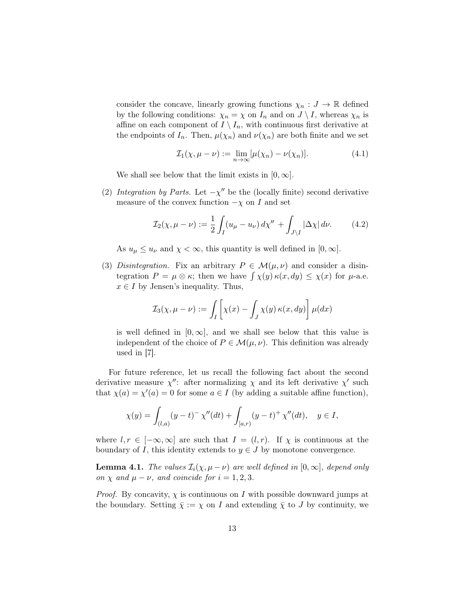consider the concave, linearly growing functions  $\chi_n : J \to \mathbb{R}$  defined by the following conditions:  $\chi_n = \chi$  on  $I_n$  and on  $J \setminus I$ , whereas  $\chi_n$  is affine on each component of  $I \setminus I_n$ , with continuous first derivative at the endpoints of  $I_n$ . Then,  $\mu(\chi_n)$  and  $\nu(\chi_n)$  are both finite and we set

<span id="page-12-0"></span>
$$
\mathcal{I}_1(\chi, \mu - \nu) := \lim_{n \to \infty} [\mu(\chi_n) - \nu(\chi_n)]. \tag{4.1}
$$

We shall see below that the limit exists in  $[0, \infty]$ .

(2) Integration by Parts. Let  $-\chi''$  be the (locally finite) second derivative measure of the convex function  $-\chi$  on I and set

<span id="page-12-1"></span>
$$
\mathcal{I}_2(\chi, \mu - \nu) := \frac{1}{2} \int_I (u_\mu - u_\nu) \, d\chi'' + \int_{J \setminus I} |\Delta \chi| \, d\nu. \tag{4.2}
$$

As  $u_{\mu} \leq u_{\nu}$  and  $\chi < \infty$ , this quantity is well defined in  $[0, \infty]$ .

(3) Disintegration. Fix an arbitrary  $P \in \mathcal{M}(\mu, \nu)$  and consider a disintegration  $P = \mu \otimes \kappa$ ; then we have  $\int \chi(y) \kappa(x, dy) \leq \chi(x)$  for  $\mu$ -a.e.  $x \in I$  by Jensen's inequality. Thus,

$$
\mathcal{I}_3(\chi,\mu-\nu) := \int_I \left[ \chi(x) - \int_J \chi(y) \,\kappa(x,dy) \right] \mu(dx)
$$

is well defined in  $[0, \infty]$ , and we shall see below that this value is independent of the choice of  $P \in \mathcal{M}(\mu, \nu)$ . This definition was already used in [\[7\]](#page-39-2).

For future reference, let us recall the following fact about the second derivative measure  $\chi''$ : after normalizing  $\chi$  and its left derivative  $\chi'$  such that  $\chi(a) = \chi'(a) = 0$  for some  $a \in I$  (by adding a suitable affine function),

$$
\chi(y) = \int_{(l,a)} (y-t)^{-} \chi''(dt) + \int_{[a,r)} (y-t)^{+} \chi''(dt), \quad y \in I,
$$

where  $l, r \in [-\infty, \infty]$  are such that  $I = (l, r)$ . If  $\chi$  is continuous at the boundary of I, this identity extends to  $y \in J$  by monotone convergence.

<span id="page-12-2"></span>**Lemma 4.1.** The values  $\mathcal{I}_i(\chi, \mu - \nu)$  are well defined in  $[0, \infty]$ , depend only on  $\chi$  and  $\mu - \nu$ , and coincide for  $i = 1, 2, 3$ .

*Proof.* By concavity,  $\chi$  is continuous on I with possible downward jumps at the boundary. Setting  $\bar{\chi} := \chi$  on I and extending  $\bar{\chi}$  to J by continuity, we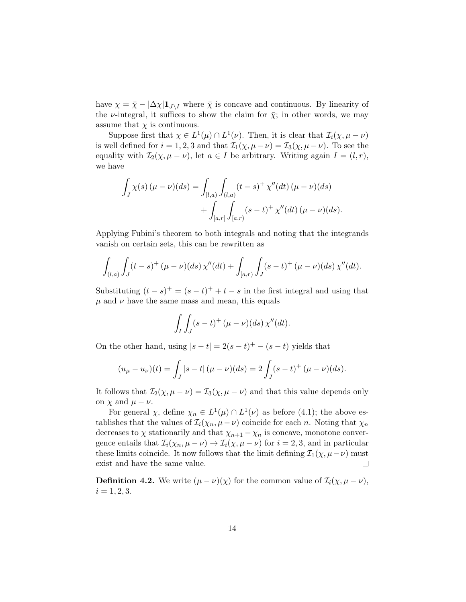have  $\chi = \bar{\chi} - |\Delta \chi| \mathbf{1}_{J \setminus I}$  where  $\bar{\chi}$  is concave and continuous. By linearity of the *ν*-integral, it suffices to show the claim for  $\bar{\chi}$ ; in other words, we may assume that  $\chi$  is continuous.

Suppose first that  $\chi \in L^1(\mu) \cap L^1(\nu)$ . Then, it is clear that  $\mathcal{I}_i(\chi, \mu - \nu)$ is well defined for  $i = 1, 2, 3$  and that  $\mathcal{I}_1(\chi, \mu - \nu) = \mathcal{I}_3(\chi, \mu - \nu)$ . To see the equality with  $\mathcal{I}_2(\chi, \mu - \nu)$ , let  $a \in I$  be arbitrary. Writing again  $I = (l, r)$ , we have

$$
\int_{J} \chi(s) (\mu - \nu)(ds) = \int_{[l,a)} \int_{(l,a)} (t - s)^{+} \chi''(dt) (\mu - \nu)(ds) \n+ \int_{[a,r]} \int_{[a,r)} (s - t)^{+} \chi''(dt) (\mu - \nu)(ds).
$$

Applying Fubini's theorem to both integrals and noting that the integrands vanish on certain sets, this can be rewritten as

$$
\int_{(l,a)} \int_J (t-s)^+ (\mu - \nu)(ds) \, \chi''(dt) + \int_{[a,r)} \int_J (s-t)^+ (\mu - \nu)(ds) \, \chi''(dt).
$$

Substituting  $(t-s)^+ = (s-t)^+ + t - s$  in the first integral and using that  $\mu$  and  $\nu$  have the same mass and mean, this equals

$$
\int_I \int_J (s-t)^+ \, (\mu - \nu)(ds) \, \chi''(dt).
$$

On the other hand, using  $|s-t| = 2(s-t)^+ - (s-t)$  yields that

$$
(u_{\mu} - u_{\nu})(t) = \int_{J} |s - t| (\mu - \nu)(ds) = 2 \int_{J} (s - t)^{+} (\mu - \nu)(ds).
$$

It follows that  $\mathcal{I}_2(\chi, \mu - \nu) = \mathcal{I}_3(\chi, \mu - \nu)$  and that this value depends only on  $\chi$  and  $\mu - \nu$ .

For general  $\chi$ , define  $\chi_n \in L^1(\mu) \cap L^1(\nu)$  as before [\(4.1\)](#page-12-0); the above establishes that the values of  $\mathcal{I}_i(\chi_n, \mu - \nu)$  coincide for each n. Noting that  $\chi_n$ decreases to  $\chi$  stationarily and that  $\chi_{n+1} - \chi_n$  is concave, monotone convergence entails that  $\mathcal{I}_i(\chi_n, \mu - \nu) \to \mathcal{I}_i(\chi, \mu - \nu)$  for  $i = 2, 3$ , and in particular these limits coincide. It now follows that the limit defining  $\mathcal{I}_1(\chi, \mu - \nu)$  must exist and have the same value.  $\Box$ 

<span id="page-13-0"></span>**Definition 4.2.** We write  $(\mu - \nu)(\chi)$  for the common value of  $\mathcal{I}_i(\chi, \mu - \nu)$ ,  $i = 1, 2, 3.$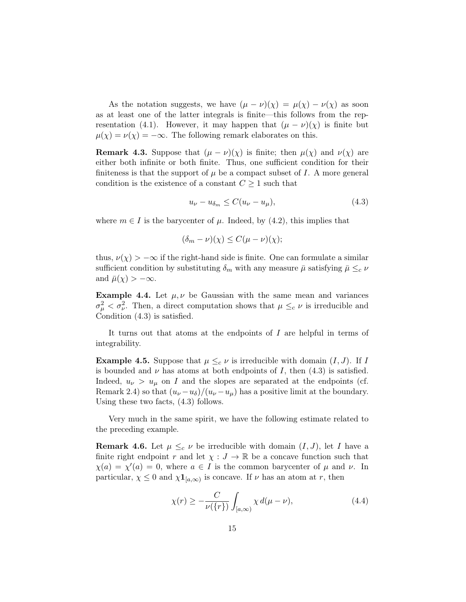As the notation suggests, we have  $(\mu - \nu)(\chi) = \mu(\chi) - \nu(\chi)$  as soon as at least one of the latter integrals is finite—this follows from the rep-resentation [\(4.1\)](#page-12-0). However, it may happen that  $(\mu - \nu)(\chi)$  is finite but  $\mu(\chi) = \nu(\chi) = -\infty$ . The following remark elaborates on this.

<span id="page-14-3"></span>**Remark 4.3.** Suppose that  $(\mu - \nu)(\chi)$  is finite; then  $\mu(\chi)$  and  $\nu(\chi)$  are either both infinite or both finite. Thus, one sufficient condition for their finiteness is that the support of  $\mu$  be a compact subset of I. A more general condition is the existence of a constant  $C \geq 1$  such that

<span id="page-14-2"></span>
$$
u_{\nu} - u_{\delta_m} \le C(u_{\nu} - u_{\mu}), \tag{4.3}
$$

where  $m \in I$  is the barycenter of  $\mu$ . Indeed, by [\(4.2\)](#page-12-1), this implies that

$$
(\delta_m - \nu)(\chi) \le C(\mu - \nu)(\chi);
$$

thus,  $\nu(\chi) > -\infty$  if the right-hand side is finite. One can formulate a similar sufficient condition by substituting  $\delta_m$  with any measure  $\bar{\mu}$  satisfying  $\bar{\mu} \leq_c \nu$ and  $\bar{\mu}(\chi) > -\infty$ .

**Example 4.4.** Let  $\mu, \nu$  be Gaussian with the same mean and variances  $\sigma_{\mu}^2 < \sigma_{\nu}^2$ . Then, a direct computation shows that  $\mu \leq_c \nu$  is irreducible and Condition [\(4.3\)](#page-14-2) is satisfied.

It turns out that atoms at the endpoints of I are helpful in terms of integrability.

<span id="page-14-0"></span>**Example 4.5.** Suppose that  $\mu \leq_c \nu$  is irreducible with domain  $(I, J)$ . If I is bounded and  $\nu$  has atoms at both endpoints of I, then  $(4.3)$  is satisfied. Indeed,  $u_{\nu} > u_{\mu}$  on I and the slopes are separated at the endpoints (cf. Remark [2.4\)](#page-7-1) so that  $(u_{\nu}-u_{\delta})/(u_{\nu}-u_{\mu})$  has a positive limit at the boundary. Using these two facts, [\(4.3\)](#page-14-2) follows.

Very much in the same spirit, we have the following estimate related to the preceding example.

<span id="page-14-1"></span>**Remark 4.6.** Let  $\mu \leq_c \nu$  be irreducible with domain  $(I, J)$ , let I have a finite right endpoint r and let  $\chi : J \to \mathbb{R}$  be a concave function such that  $\chi(a) = \chi'(a) = 0$ , where  $a \in I$  is the common barycenter of  $\mu$  and  $\nu$ . In particular,  $\chi \leq 0$  and  $\chi \mathbf{1}_{[a,\infty)}$  is concave. If  $\nu$  has an atom at r, then

$$
\chi(r) \ge -\frac{C}{\nu(\{r\})} \int_{[a,\infty)} \chi \, d(\mu - \nu),\tag{4.4}
$$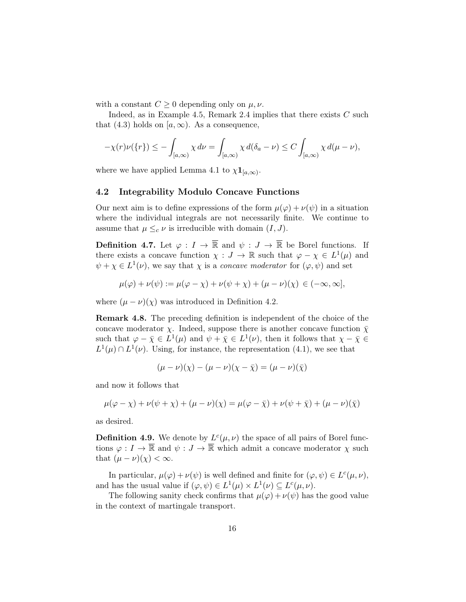with a constant  $C \geq 0$  depending only on  $\mu, \nu$ .

Indeed, as in Example [4.5,](#page-14-0) Remark [2.4](#page-7-1) implies that there exists  $C$  such that [\(4.3\)](#page-14-2) holds on  $[a,\infty)$ . As a consequence,

$$
-\chi(r)\nu(\lbrace r\rbrace) \leq -\int_{[a,\infty)} \chi \, d\nu = \int_{[a,\infty)} \chi \, d(\delta_a - \nu) \leq C \int_{[a,\infty)} \chi \, d(\mu - \nu),
$$

where we have applied Lemma [4.1](#page-12-2) to  $\chi \mathbf{1}_{[a,\infty)}$ .

#### 4.2 Integrability Modulo Concave Functions

Our next aim is to define expressions of the form  $\mu(\varphi) + \nu(\psi)$  in a situation where the individual integrals are not necessarily finite. We continue to assume that  $\mu \leq_c \nu$  is irreducible with domain  $(I, J)$ .

**Definition 4.7.** Let  $\varphi: I \to \overline{\mathbb{R}}$  and  $\psi: J \to \overline{\mathbb{R}}$  be Borel functions. If there exists a concave function  $\chi: J \to \mathbb{R}$  such that  $\varphi - \chi \in L^1(\mu)$  and  $\psi + \chi \in L^1(\nu)$ , we say that  $\chi$  is a *concave moderator* for  $(\varphi, \psi)$  and set

$$
\mu(\varphi) + \nu(\psi) := \mu(\varphi - \chi) + \nu(\psi + \chi) + (\mu - \nu)(\chi) \in (-\infty, \infty],
$$

where  $(\mu - \nu)(\chi)$  was introduced in Definition [4.2.](#page-13-0)

Remark 4.8. The preceding definition is independent of the choice of the concave moderator  $\chi$ . Indeed, suppose there is another concave function  $\bar{\chi}$ such that  $\varphi - \bar{\chi} \in L^1(\mu)$  and  $\psi + \bar{\chi} \in L^1(\nu)$ , then it follows that  $\chi - \bar{\chi} \in$  $L^1(\mu) \cap L^1(\nu)$ . Using, for instance, the representation [\(4.1\)](#page-12-0), we see that

$$
(\mu - \nu)(\chi) - (\mu - \nu)(\chi - \bar{\chi}) = (\mu - \nu)(\bar{\chi})
$$

and now it follows that

$$
\mu(\varphi - \chi) + \nu(\psi + \chi) + (\mu - \nu)(\chi) = \mu(\varphi - \bar{\chi}) + \nu(\psi + \bar{\chi}) + (\mu - \nu)(\bar{\chi})
$$

as desired.

**Definition 4.9.** We denote by  $L^c(\mu, \nu)$  the space of all pairs of Borel functions  $\varphi: I \to \overline{\mathbb{R}}$  and  $\psi: J \to \overline{\mathbb{R}}$  which admit a concave moderator  $\chi$  such that  $(\mu - \nu)(\chi) < \infty$ .

In particular,  $\mu(\varphi) + \nu(\psi)$  is well defined and finite for  $(\varphi, \psi) \in L^c(\mu, \nu)$ , and has the usual value if  $(\varphi, \psi) \in L^1(\mu) \times L^1(\nu) \subseteq L^c(\mu, \nu)$ .

The following sanity check confirms that  $\mu(\varphi) + \nu(\psi)$  has the good value in the context of martingale transport.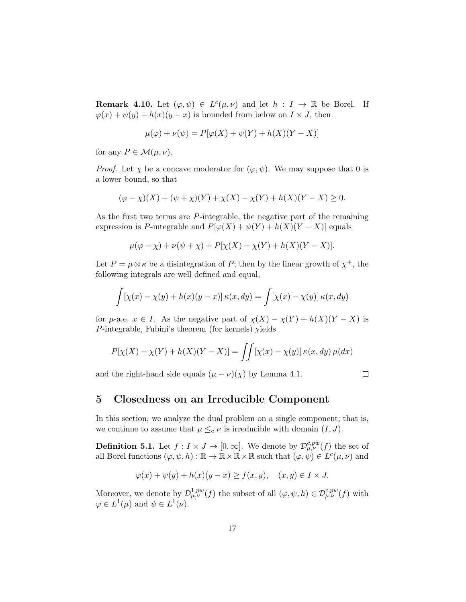<span id="page-16-1"></span>**Remark 4.10.** Let  $(\varphi, \psi) \in L^c(\mu, \nu)$  and let  $h : I \to \mathbb{R}$  be Borel. If  $\varphi(x) + \psi(y) + h(x)(y - x)$  is bounded from below on  $I \times J$ , then

$$
\mu(\varphi) + \nu(\psi) = P[\varphi(X) + \psi(Y) + h(X)(Y - X)]
$$

for any  $P \in \mathcal{M}(\mu, \nu)$ .

*Proof.* Let  $\chi$  be a concave moderator for  $(\varphi, \psi)$ . We may suppose that 0 is a lower bound, so that

$$
(\varphi - \chi)(X) + (\psi + \chi)(Y) + \chi(X) - \chi(Y) + h(X)(Y - X) \ge 0.
$$

As the first two terms are P-integrable, the negative part of the remaining expression is P-integrable and  $P[\varphi(X) + \psi(Y) + h(X)(Y - X)]$  equals

$$
\mu(\varphi - \chi) + \nu(\psi + \chi) + P[\chi(X) - \chi(Y) + h(X)(Y - X)].
$$

Let  $P = \mu \otimes \kappa$  be a disintegration of P; then by the linear growth of  $\chi^+$ , the following integrals are well defined and equal,

$$
\int [\chi(x) - \chi(y) + h(x)(y - x)] \kappa(x, dy) = \int [\chi(x) - \chi(y)] \kappa(x, dy)
$$

for  $\mu$ -a.e.  $x \in I$ . As the negative part of  $\chi(X) - \chi(Y) + h(X)(Y - X)$  is P-integrable, Fubini's theorem (for kernels) yields

$$
P[\chi(X) - \chi(Y) + h(X)(Y - X)] = \iint [\chi(x) - \chi(y)] \kappa(x, dy) \mu(dx)
$$

and the right-hand side equals  $(\mu - \nu)(\chi)$  by Lemma [4.1.](#page-12-2)

$$
\Box
$$

### <span id="page-16-0"></span>5 Closedness on an Irreducible Component

In this section, we analyze the dual problem on a single component; that is, we continue to assume that  $\mu \leq_c \nu$  is irreducible with domain  $(I, J)$ .

**Definition 5.1.** Let  $f: I \times J \to [0, \infty]$ . We denote by  $\mathcal{D}^{c, pw}_{\mu, \nu}(f)$  the set of all Borel functions  $(\varphi, \psi, h) : \mathbb{R} \to \overline{\mathbb{R}} \times \overline{\mathbb{R}} \times \mathbb{R}$  such that  $(\varphi, \psi) \in L^c(\mu, \nu)$  and

$$
\varphi(x) + \psi(y) + h(x)(y - x) \ge f(x, y), \quad (x, y) \in I \times J.
$$

Moreover, we denote by  $\mathcal{D}^{1,pw}_{\mu,\nu}(f)$  the subset of all  $(\varphi, \psi, h) \in \mathcal{D}^{c,pw}_{\mu,\nu}(f)$  with  $\varphi \in L^1(\mu)$  and  $\psi \in L^1(\nu)$ .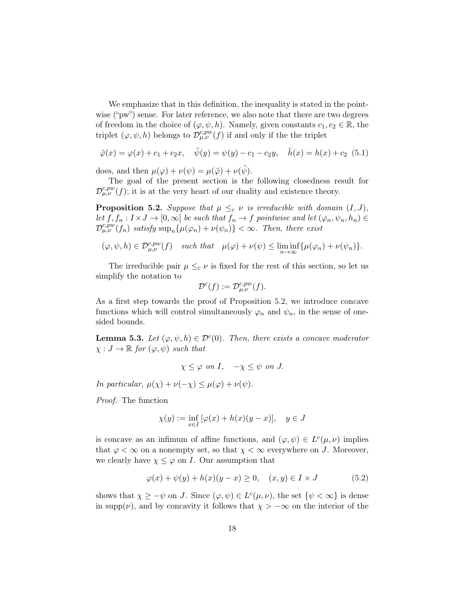We emphasize that in this definition, the inequality is stated in the pointwise ("pw") sense. For later reference, we also note that there are two degrees of freedom in the choice of  $(\varphi, \psi, h)$ . Namely, given constants  $c_1, c_2 \in \mathbb{R}$ , the triplet  $(\varphi, \psi, h)$  belongs to  $\mathcal{D}_{\mu,\nu}^{c,pw}(f)$  if and only if the the triplet

<span id="page-17-3"></span>
$$
\tilde{\varphi}(x) = \varphi(x) + c_1 + c_2 x, \quad \tilde{\psi}(y) = \psi(y) - c_1 - c_2 y, \quad \tilde{h}(x) = h(x) + c_2 \tag{5.1}
$$

does, and then  $\mu(\varphi) + \nu(\psi) = \mu(\tilde{\varphi}) + \nu(\tilde{\psi})$ .

The goal of the present section is the following closedness result for  $\mathcal{D}^{c,pw}_{\mu,\nu}(f)$ ; it is at the very heart of our duality and existence theory.

<span id="page-17-0"></span>**Proposition 5.2.** Suppose that  $\mu \leq_c \nu$  is irreducible with domain  $(I, J)$ , let  $f, f_n : I \times J \to [0, \infty]$  be such that  $f_n \to f$  pointwise and let  $(\varphi_n, \psi_n, h_n) \in$  $\mathcal{D}_{\mu,\nu}^{c,pw}(f_n)$  satisfy  $\sup_n{\{\mu(\varphi_n)+\nu(\psi_n)\}}<\infty$ . Then, there exist

$$
(\varphi, \psi, h) \in \mathcal{D}^{c, pw}_{\mu, \nu}(f) \quad such \; that \quad \mu(\varphi) + \nu(\psi) \leq \liminf_{n \to \infty} {\{\mu(\varphi_n) + \nu(\psi_n)\}}.
$$

The irreducible pair  $\mu \leq_c \nu$  is fixed for the rest of this section, so let us simplify the notation to

$$
\mathcal{D}^c(f) := \mathcal{D}^{c,pw}_{\mu,\nu}(f).
$$

As a first step towards the proof of Proposition [5.2,](#page-17-0) we introduce concave functions which will control simultaneously  $\varphi_n$  and  $\psi_n$ , in the sense of onesided bounds.

<span id="page-17-2"></span>**Lemma 5.3.** Let  $(\varphi, \psi, h) \in \mathcal{D}^c(0)$ . Then, there exists a concave moderator  $\chi : J \to \mathbb{R}$  for  $(\varphi, \psi)$  such that

$$
\chi \leq \varphi
$$
 on  $I$ ,  $-\chi \leq \psi$  on  $J$ .

In particular,  $\mu(\chi) + \nu(-\chi) \leq \mu(\varphi) + \nu(\psi)$ .

Proof. The function

$$
\chi(y) := \inf_{x \in I} \left[ \varphi(x) + h(x)(y - x) \right], \quad y \in J
$$

is concave as an infimum of affine functions, and  $(\varphi, \psi) \in L^c(\mu, \nu)$  implies that  $\varphi < \infty$  on a nonempty set, so that  $\chi < \infty$  everywhere on J. Moreover, we clearly have  $\chi \leq \varphi$  on *I*. Our assumption that

<span id="page-17-1"></span>
$$
\varphi(x) + \psi(y) + h(x)(y - x) \ge 0, \quad (x, y) \in I \times J \tag{5.2}
$$

shows that  $\chi \geq -\psi$  on J. Since  $(\varphi, \psi) \in L^c(\mu, \nu)$ , the set  $\{\psi < \infty\}$  is dense in supp( $\nu$ ), and by concavity it follows that  $\chi > -\infty$  on the interior of the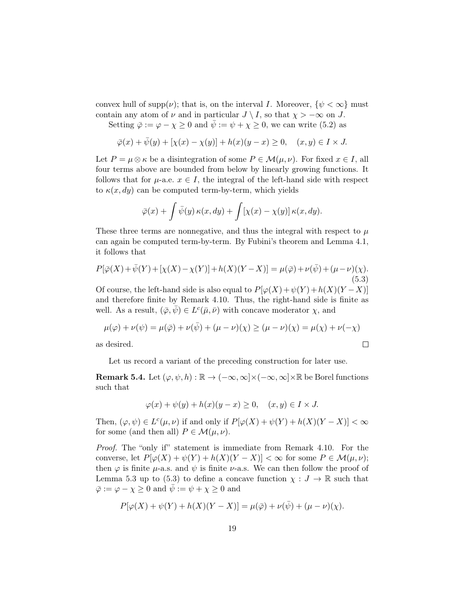convex hull of supp $(\nu)$ ; that is, on the interval I. Moreover,  $\{\psi < \infty\}$  must contain any atom of  $\nu$  and in particular  $J \setminus I$ , so that  $\chi > -\infty$  on J.

Setting  $\bar{\varphi} := \varphi - \chi \geq 0$  and  $\bar{\psi} := \psi + \chi \geq 0$ , we can write [\(5.2\)](#page-17-1) as

$$
\overline{\varphi}(x) + \overline{\psi}(y) + [\chi(x) - \chi(y)] + h(x)(y - x) \ge 0, \quad (x, y) \in I \times J.
$$

Let  $P = \mu \otimes \kappa$  be a disintegration of some  $P \in \mathcal{M}(\mu, \nu)$ . For fixed  $x \in I$ , all four terms above are bounded from below by linearly growing functions. It follows that for  $\mu$ -a.e.  $x \in I$ , the integral of the left-hand side with respect to  $\kappa(x, dy)$  can be computed term-by-term, which yields

$$
\bar{\varphi}(x) + \int \bar{\psi}(y) \kappa(x, dy) + \int [\chi(x) - \chi(y)] \kappa(x, dy).
$$

These three terms are nonnegative, and thus the integral with respect to  $\mu$ can again be computed term-by-term. By Fubini's theorem and Lemma [4.1,](#page-12-2) it follows that

<span id="page-18-0"></span>
$$
P[\bar{\varphi}(X) + \bar{\psi}(Y) + [\chi(X) - \chi(Y)] + h(X)(Y - X)] = \mu(\bar{\varphi}) + \nu(\bar{\psi}) + (\mu - \nu)(\chi).
$$
\n(5.3)

Of course, the left-hand side is also equal to  $P[\varphi(X)+\psi(Y)+h(X)(Y-X)]$ and therefore finite by Remark [4.10.](#page-16-1) Thus, the right-hand side is finite as well. As a result,  $(\bar{\varphi}, \bar{\psi}) \in L^c(\bar{\mu}, \bar{\nu})$  with concave moderator  $\chi$ , and

$$
\mu(\varphi) + \nu(\psi) = \mu(\bar{\varphi}) + \nu(\bar{\psi}) + (\mu - \nu)(\chi) \ge (\mu - \nu)(\chi) = \mu(\chi) + \nu(-\chi)
$$
  
s desired.

as

Let us record a variant of the preceding construction for later use.

<span id="page-18-1"></span>**Remark 5.4.** Let  $(\varphi, \psi, h) : \mathbb{R} \to (-\infty, \infty] \times (-\infty, \infty] \times \mathbb{R}$  be Borel functions such that

$$
\varphi(x) + \psi(y) + h(x)(y - x) \ge 0, \quad (x, y) \in I \times J.
$$

Then,  $(\varphi, \psi) \in L^c(\mu, \nu)$  if and only if  $P[\varphi(X) + \psi(Y) + h(X)(Y - X)] < \infty$ for some (and then all)  $P \in \mathcal{M}(\mu, \nu)$ .

Proof. The "only if" statement is immediate from Remark [4.10.](#page-16-1) For the converse, let  $P[\varphi(X) + \psi(Y) + h(X)(Y - X)] < \infty$  for some  $P \in \mathcal{M}(\mu, \nu);$ then  $\varphi$  is finite  $\mu$ -a.s. and  $\psi$  is finite  $\nu$ -a.s. We can then follow the proof of Lemma [5.3](#page-17-2) up to [\(5.3\)](#page-18-0) to define a concave function  $\chi : J \to \mathbb{R}$  such that  $\bar{\varphi} := \varphi - \chi \geq 0$  and  $\bar{\psi} := \psi + \chi \geq 0$  and

$$
P[\varphi(X) + \psi(Y) + h(X)(Y - X)] = \mu(\bar{\varphi}) + \nu(\bar{\psi}) + (\mu - \nu)(\chi).
$$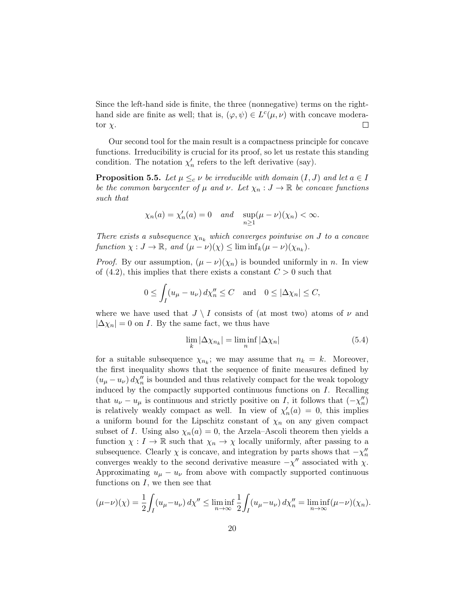Since the left-hand side is finite, the three (nonnegative) terms on the righthand side are finite as well; that is,  $(\varphi, \psi) \in L^c(\mu, \nu)$  with concave moderator  $\chi$ .  $\Box$ 

Our second tool for the main result is a compactness principle for concave functions. Irreducibility is crucial for its proof, so let us restate this standing condition. The notation  $\chi'_n$  refers to the left derivative (say).

<span id="page-19-1"></span>**Proposition 5.5.** Let  $\mu \leq_c \nu$  be irreducible with domain  $(I, J)$  and let  $a \in I$ be the common barycenter of  $\mu$  and  $\nu$ . Let  $\chi_n: J \to \mathbb{R}$  be concave functions such that

$$
\chi_n(a) = \chi'_n(a) = 0
$$
 and  $\sup_{n \ge 1} (\mu - \nu)(\chi_n) < \infty$ .

There exists a subsequence  $\chi_{n_k}$  which converges pointwise on J to a concave function  $\chi : J \to \mathbb{R}$ , and  $(\mu - \nu)(\chi) \leq \liminf_k (\mu - \nu)(\chi_{n_k}).$ 

*Proof.* By our assumption,  $(\mu - \nu)(\chi_n)$  is bounded uniformly in *n*. In view of  $(4.2)$ , this implies that there exists a constant  $C > 0$  such that

$$
0 \le \int_I (u_\mu - u_\nu) \, d\chi_n'' \le C \quad \text{and} \quad 0 \le |\Delta \chi_n| \le C,
$$

where we have used that  $J \setminus I$  consists of (at most two) atoms of  $\nu$  and  $|\Delta \chi_n| = 0$  on *I*. By the same fact, we thus have

<span id="page-19-0"></span>
$$
\lim_{k} |\Delta \chi_{n_k}| = \liminf_{n} |\Delta \chi_n| \tag{5.4}
$$

for a suitable subsequence  $\chi_{n_k}$ ; we may assume that  $n_k = k$ . Moreover, the first inequality shows that the sequence of finite measures defined by  $(u_{\mu}-u_{\nu}) d\chi''_n$  is bounded and thus relatively compact for the weak topology induced by the compactly supported continuous functions on I. Recalling that  $u_{\nu} - u_{\mu}$  is continuous and strictly positive on I, it follows that  $(-\chi''_n)$ is relatively weakly compact as well. In view of  $\chi'_n(a) = 0$ , this implies a uniform bound for the Lipschitz constant of  $\chi_n$  on any given compact subset of I. Using also  $\chi_n(a) = 0$ , the Arzela–Ascoli theorem then yields a function  $\chi: I \to \mathbb{R}$  such that  $\chi_n \to \chi$  locally uniformly, after passing to a subsequence. Clearly  $\chi$  is concave, and integration by parts shows that  $-\chi''_n$ converges weakly to the second derivative measure  $-\chi''$  associated with  $\chi$ . Approximating  $u_{\mu} - u_{\nu}$  from above with compactly supported continuous functions on  $I$ , we then see that

$$
(\mu - \nu)(\chi) = \frac{1}{2} \int_I (u_\mu - u_\nu) \, d\chi'' \le \liminf_{n \to \infty} \frac{1}{2} \int_I (u_\mu - u_\nu) \, d\chi''_n = \liminf_{n \to \infty} (\mu - \nu)(\chi_n).
$$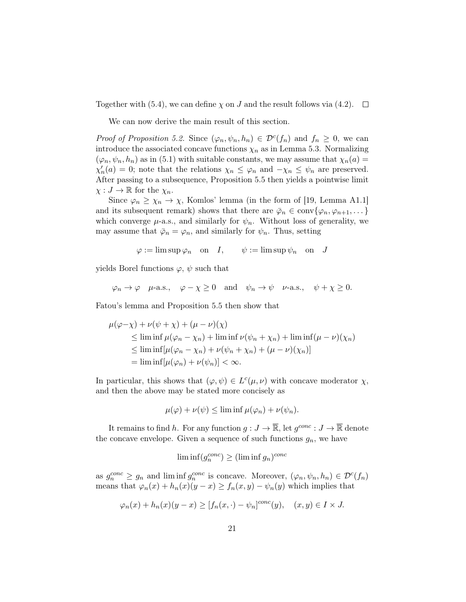Together with [\(5.4\)](#page-19-0), we can define  $\chi$  on J and the result follows via [\(4.2\)](#page-12-1).  $\Box$ 

We can now derive the main result of this section.

Proof of Proposition [5.2.](#page-17-0) Since  $(\varphi_n, \psi_n, h_n) \in \mathcal{D}^c(f_n)$  and  $f_n \geq 0$ , we can introduce the associated concave functions  $\chi_n$  as in Lemma [5.3.](#page-17-2) Normalizing  $(\varphi_n, \psi_n, h_n)$  as in [\(5.1\)](#page-17-3) with suitable constants, we may assume that  $\chi_n(a)$  $\chi'_n(a) = 0$ ; note that the relations  $\chi_n \leq \varphi_n$  and  $-\chi_n \leq \psi_n$  are preserved. After passing to a subsequence, Proposition [5.5](#page-19-1) then yields a pointwise limit  $\chi: J \to \mathbb{R}$  for the  $\chi_n$ .

Since  $\varphi_n \geq \chi_n \to \chi$ , Komlos' lemma (in the form of [\[19,](#page-40-15) Lemma A1.1] and its subsequent remark) shows that there are  $\bar{\varphi}_n \in \text{conv}\{\varphi_n, \varphi_{n+1}, \dots\}$ which converge  $\mu$ -a.s., and similarly for  $\psi_n$ . Without loss of generality, we may assume that  $\bar{\varphi}_n = \varphi_n$ , and similarly for  $\psi_n$ . Thus, setting

$$
\varphi := \limsup \varphi_n
$$
 on  $I$ ,  $\psi := \limsup \psi_n$  on  $J$ 

yields Borel functions  $\varphi$ ,  $\psi$  such that

 $\varphi_n \to \varphi \quad \mu$ -a.s.,  $\varphi - \chi \ge 0$  and  $\psi_n \to \psi \quad \nu$ -a.s.,  $\psi + \chi \ge 0$ .

Fatou's lemma and Proposition [5.5](#page-19-1) then show that

$$
\mu(\varphi - \chi) + \nu(\psi + \chi) + (\mu - \nu)(\chi)
$$
\n
$$
\leq \liminf \mu(\varphi_n - \chi_n) + \liminf \nu(\psi_n + \chi_n) + \liminf (\mu - \nu)(\chi_n)
$$
\n
$$
\leq \liminf [\mu(\varphi_n - \chi_n) + \nu(\psi_n + \chi_n) + (\mu - \nu)(\chi_n)]
$$
\n
$$
= \liminf [\mu(\varphi_n) + \nu(\psi_n)] < \infty.
$$

In particular, this shows that  $(\varphi, \psi) \in L^c(\mu, \nu)$  with concave moderator  $\chi$ , and then the above may be stated more concisely as

$$
\mu(\varphi) + \nu(\psi) \le \liminf \mu(\varphi_n) + \nu(\psi_n).
$$

It remains to find h. For any function  $g: J \to \overline{\mathbb{R}}$ , let  $g^{conc}: J \to \overline{\mathbb{R}}$  denote the concave envelope. Given a sequence of such functions  $g_n$ , we have

$$
\liminf (g_n^{conc}) \ge (\liminf g_n)^{conc}
$$

as  $g_n^{conc} \geq g_n$  and lim inf  $g_n^{conc}$  is concave. Moreover,  $(\varphi_n, \psi_n, h_n) \in \mathcal{D}^c(f_n)$ means that  $\varphi_n(x) + h_n(x)(y - x) \ge f_n(x, y) - \psi_n(y)$  which implies that

$$
\varphi_n(x) + h_n(x)(y - x) \ge [f_n(x, \cdot) - \psi_n]^{conc}(y), \quad (x, y) \in I \times J.
$$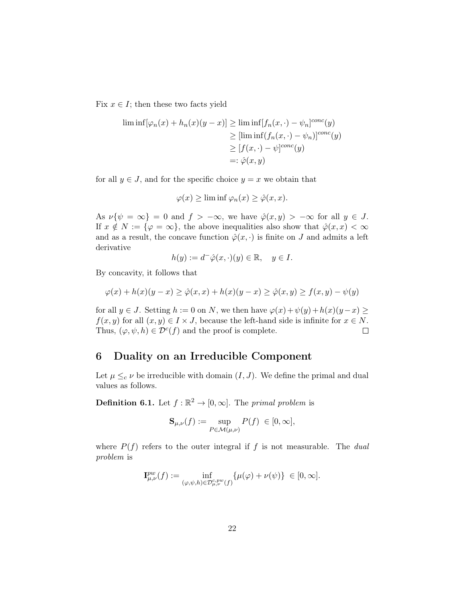Fix  $x \in I$ ; then these two facts yield

$$
\liminf[\varphi_n(x) + h_n(x)(y - x)] \ge \liminf[f_n(x, \cdot) - \psi_n]^{conc}(y)
$$
  
\n
$$
\ge [\liminf(f_n(x, \cdot) - \psi_n)]^{conc}(y)
$$
  
\n
$$
\ge [f(x, \cdot) - \psi]^{conc}(y)
$$
  
\n
$$
=:\hat{\varphi}(x, y)
$$

for all  $y \in J$ , and for the specific choice  $y = x$  we obtain that

$$
\varphi(x) \ge \liminf \varphi_n(x) \ge \hat{\varphi}(x, x).
$$

As  $\nu\{\psi = \infty\} = 0$  and  $f > -\infty$ , we have  $\hat{\varphi}(x, y) > -\infty$  for all  $y \in J$ . If  $x \notin N := \{\varphi = \infty\}$ , the above inequalities also show that  $\hat{\varphi}(x, x) < \infty$ and as a result, the concave function  $\hat{\varphi}(x, \cdot)$  is finite on J and admits a left derivative

$$
h(y) := d^{-1}\hat{\varphi}(x, \cdot)(y) \in \mathbb{R}, \quad y \in I.
$$

By concavity, it follows that

$$
\varphi(x) + h(x)(y - x) \ge \hat{\varphi}(x, x) + h(x)(y - x) \ge \hat{\varphi}(x, y) \ge f(x, y) - \psi(y)
$$

for all  $y \in J$ . Setting  $h := 0$  on N, we then have  $\varphi(x) + \psi(y) + h(x)(y - x) \ge$  $f(x, y)$  for all  $(x, y) \in I \times J$ , because the left-hand side is infinite for  $x \in N$ . Thus,  $(\varphi, \psi, h) \in \mathcal{D}^{c}(f)$  and the proof is complete.  $\Box$ 

# <span id="page-21-0"></span>6 Duality on an Irreducible Component

Let  $\mu \leq_c \nu$  be irreducible with domain  $(I, J)$ . We define the primal and dual values as follows.

**Definition 6.1.** Let  $f : \mathbb{R}^2 \to [0, \infty]$ . The primal problem is

$$
\mathbf{S}_{\mu,\nu}(f) := \sup_{P \in \mathcal{M}(\mu,\nu)} P(f) \in [0,\infty],
$$

where  $P(f)$  refers to the outer integral if f is not measurable. The dual problem is

$$
\mathbf{I}^{pw}_{\mu,\nu}(f):=\inf_{(\varphi,\psi,h)\in\mathcal{D}^{c,pw}_{\mu,\nu}(f)}\{\mu(\varphi)+\nu(\psi)\}\ \in[0,\infty].
$$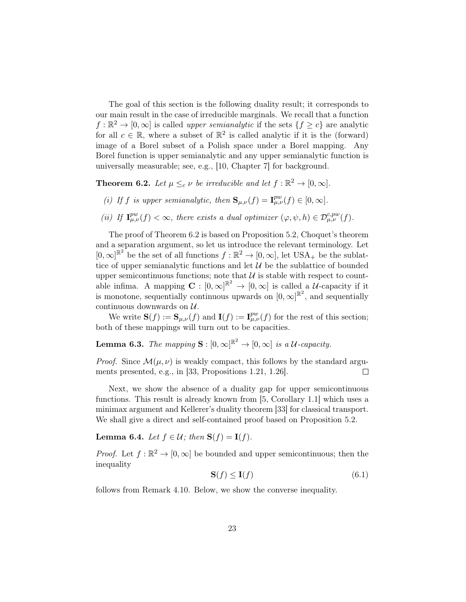The goal of this section is the following duality result; it corresponds to our main result in the case of irreducible marginals. We recall that a function  $f: \mathbb{R}^2 \to [0, \infty]$  is called *upper semianalytic* if the sets  $\{f \ge c\}$  are analytic for all  $c \in \mathbb{R}$ , where a subset of  $\mathbb{R}^2$  is called analytic if it is the (forward) image of a Borel subset of a Polish space under a Borel mapping. Any Borel function is upper semianalytic and any upper semianalytic function is universally measurable; see, e.g., [\[10,](#page-39-14) Chapter 7] for background.

<span id="page-22-0"></span>**Theorem 6.2.** Let  $\mu \leq_c \nu$  be irreducible and let  $f : \mathbb{R}^2 \to [0, \infty]$ .

- (i) If f is upper semianalytic, then  $\mathbf{S}_{\mu,\nu}(f) = \mathbf{I}_{\mu,\nu}^{pw}(f) \in [0,\infty]$ .
- (ii) If  $\mathbf{I}_{\mu,\nu}^{pw}(f) < \infty$ , there exists a dual optimizer  $(\varphi, \psi, h) \in \mathcal{D}_{\mu,\nu}^{c,pw}(f)$ .

The proof of Theorem [6.2](#page-22-0) is based on Proposition [5.2,](#page-17-0) Choquet's theorem and a separation argument, so let us introduce the relevant terminology. Let  $[0,\infty]^{\mathbb{R}^2}$  be the set of all functions  $f:\mathbb{R}^2 \to [0,\infty]$ , let USA<sub>+</sub> be the sublattice of upper semianalytic functions and let  $\mathcal{U}$  be the sublattice of bounded upper semicontinuous functions; note that  $\mathcal U$  is stable with respect to countable infima. A mapping  $\mathbf{C} : [0,\infty]^{\mathbb{R}^2} \to [0,\infty]$  is called a *U*-capacity if it is monotone, sequentially continuous upwards on  $[0,\infty]^{\mathbb{R}^2}$ , and sequentially continuous downwards on  $U$ .

We write  $\mathbf{S}(f) := \mathbf{S}_{\mu,\nu}(f)$  and  $\mathbf{I}(f) := \mathbf{I}^{pw}_{\mu,\nu}(f)$  for the rest of this section; both of these mappings will turn out to be capacities.

<span id="page-22-1"></span>**Lemma 6.3.** The mapping  $S : [0, \infty]^{\mathbb{R}^2} \to [0, \infty]$  is a U-capacity.

*Proof.* Since  $\mathcal{M}(\mu, \nu)$  is weakly compact, this follows by the standard arguments presented, e.g., in [\[33,](#page-40-14) Propositions 1.21, 1.26].  $\Box$ 

Next, we show the absence of a duality gap for upper semicontinuous functions. This result is already known from [\[5,](#page-39-1) Corollary 1.1] which uses a minimax argument and Kellerer's duality theorem [\[33\]](#page-40-14) for classical transport. We shall give a direct and self-contained proof based on Proposition [5.2.](#page-17-0)

<span id="page-22-3"></span>Lemma 6.4. Let  $f \in \mathcal{U}$ ; then  $S(f) = I(f)$ .

*Proof.* Let  $f : \mathbb{R}^2 \to [0, \infty]$  be bounded and upper semicontinuous; then the inequality

<span id="page-22-2"></span>
$$
\mathbf{S}(f) \le \mathbf{I}(f) \tag{6.1}
$$

follows from Remark [4.10.](#page-16-1) Below, we show the converse inequality.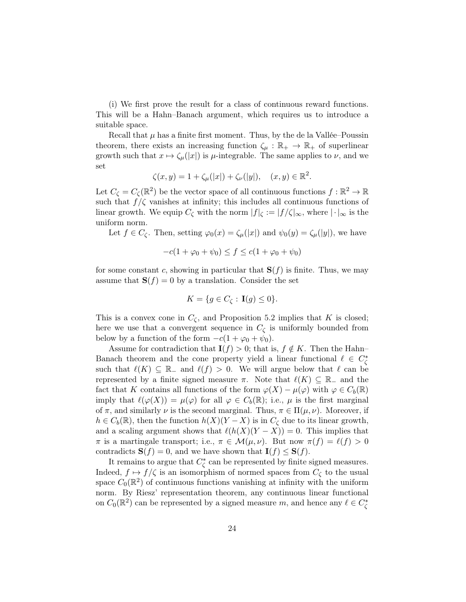(i) We first prove the result for a class of continuous reward functions. This will be a Hahn–Banach argument, which requires us to introduce a suitable space.

Recall that  $\mu$  has a finite first moment. Thus, by the de la Vallée–Poussin theorem, there exists an increasing function  $\zeta_{\mu} : \mathbb{R}_{+} \to \mathbb{R}_{+}$  of superlinear growth such that  $x \mapsto \zeta_\mu(|x|)$  is  $\mu$ -integrable. The same applies to  $\nu$ , and we set

$$
\zeta(x, y) = 1 + \zeta_{\mu}(|x|) + \zeta_{\nu}(|y|), \quad (x, y) \in \mathbb{R}^2.
$$

Let  $C_{\zeta} = C_{\zeta}(\mathbb{R}^2)$  be the vector space of all continuous functions  $f : \mathbb{R}^2 \to \mathbb{R}$ such that  $f/\zeta$  vanishes at infinity; this includes all continuous functions of linear growth. We equip  $C_{\zeta}$  with the norm  $|f|_{\zeta} := |f/\zeta|_{\infty}$ , where  $|\cdot|_{\infty}$  is the uniform norm.

Let  $f \in C_{\mathcal{C}}$ . Then, setting  $\varphi_0(x) = \zeta_{\mu}(|x|)$  and  $\psi_0(y) = \zeta_{\mu}(|y|)$ , we have

$$
-c(1 + \varphi_0 + \psi_0) \le f \le c(1 + \varphi_0 + \psi_0)
$$

for some constant c, showing in particular that  $S(f)$  is finite. Thus, we may assume that  $S(f) = 0$  by a translation. Consider the set

$$
K = \{ g \in C_{\zeta} : \mathbf{I}(g) \le 0 \}.
$$

This is a convex cone in  $C_{\zeta}$ , and Proposition [5.2](#page-17-0) implies that K is closed; here we use that a convergent sequence in  $C_{\zeta}$  is uniformly bounded from below by a function of the form  $-c(1 + \varphi_0 + \psi_0)$ .

Assume for contradiction that  $\mathbf{I}(f) > 0$ ; that is,  $f \notin K$ . Then the Hahn– Banach theorem and the cone property yield a linear functional  $\ell \in C_{\zeta}^*$ such that  $\ell(K) \subseteq \mathbb{R}^-$  and  $\ell(f) > 0$ . We will argue below that  $\ell$  can be represented by a finite signed measure  $\pi$ . Note that  $\ell(K) \subseteq \mathbb{R}^-$  and the fact that K contains all functions of the form  $\varphi(X) - \mu(\varphi)$  with  $\varphi \in C_b(\mathbb{R})$ imply that  $\ell(\varphi(X)) = \mu(\varphi)$  for all  $\varphi \in C_b(\mathbb{R})$ ; i.e.,  $\mu$  is the first marginal of  $\pi$ , and similarly  $\nu$  is the second marginal. Thus,  $\pi \in \Pi(\mu, \nu)$ . Moreover, if  $h \in C_b(\mathbb{R})$ , then the function  $h(X)(Y - X)$  is in  $C_{\zeta}$  due to its linear growth, and a scaling argument shows that  $\ell(h(X)(Y - X)) = 0$ . This implies that  $\pi$  is a martingale transport; i.e.,  $\pi \in \mathcal{M}(\mu, \nu)$ . But now  $\pi(f) = \ell(f) > 0$ contradicts  $\mathbf{S}(f) = 0$ , and we have shown that  $\mathbf{I}(f) \leq \mathbf{S}(f)$ .

It remains to argue that  $C_{\zeta}^*$  can be represented by finite signed measures. Indeed,  $f \mapsto f/\zeta$  is an isomorphism of normed spaces from  $C_{\zeta}$  to the usual space  $C_0(\mathbb{R}^2)$  of continuous functions vanishing at infinity with the uniform norm. By Riesz' representation theorem, any continuous linear functional on  $C_0(\mathbb{R}^2)$  can be represented by a signed measure m, and hence any  $\ell \in C^*_\zeta$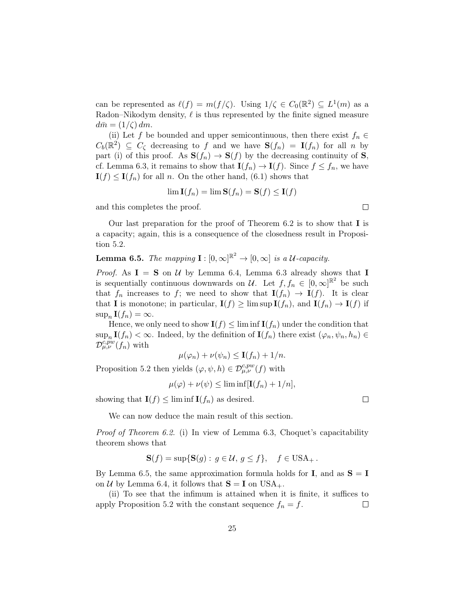can be represented as  $\ell(f) = m(f/\zeta)$ . Using  $1/\zeta \in C_0(\mathbb{R}^2) \subseteq L^1(m)$  as a Radon–Nikodym density,  $\ell$  is thus represented by the finite signed measure  $d\bar{m} = (1/\zeta) dm$ .

(ii) Let f be bounded and upper semicontinuous, then there exist  $f_n \in$  $C_b(\mathbb{R}^2) \subseteq C_{\zeta}$  decreasing to f and we have  $\mathbf{S}(f_n) = \mathbf{I}(f_n)$  for all n by part (i) of this proof. As  $S(f_n) \to S(f)$  by the decreasing continuity of S, cf. Lemma [6.3,](#page-22-1) it remains to show that  $\mathbf{I}(f_n) \to \mathbf{I}(f)$ . Since  $f \leq f_n$ , we have  $I(f) \leq I(f_n)$  for all n. On the other hand, [\(6.1\)](#page-22-2) shows that

$$
\lim \mathbf{I}(f_n) = \lim \mathbf{S}(f_n) = \mathbf{S}(f) \le \mathbf{I}(f)
$$

and this completes the proof.

Our last preparation for the proof of Theorem [6.2](#page-22-0) is to show that I is a capacity; again, this is a consequence of the closedness result in Proposition [5.2.](#page-17-0)

<span id="page-24-0"></span>**Lemma 6.5.** The mapping  $\mathbf{I}: [0, \infty]^{\mathbb{R}^2} \to [0, \infty]$  is a U-capacity.

*Proof.* As  $I = S$  on U by Lemma [6.4,](#page-22-3) Lemma [6.3](#page-22-1) already shows that I is sequentially continuous downwards on U. Let  $f, f_n \in [0, \infty]^{\mathbb{R}^2}$  be such that  $f_n$  increases to f; we need to show that  $I(f_n) \to I(f)$ . It is clear that **I** is monotone; in particular,  $\mathbf{I}(f) \geq \limsup \mathbf{I}(f_n)$ , and  $\mathbf{I}(f_n) \to \mathbf{I}(f)$  if  $\sup_n \mathbf{I}(f_n) = \infty.$ 

Hence, we only need to show  $\mathbf{I}(f) \leq \liminf \mathbf{I}(f_n)$  under the condition that  $\sup_n \mathbf{I}(f_n) < \infty$ . Indeed, by the definition of  $\mathbf{I}(f_n)$  there exist  $(\varphi_n, \psi_n, h_n) \in$  $\mathcal{D}_{\mu,\nu}^{\overline{c,pw}}(f_n)$  with

$$
\mu(\varphi_n)+\nu(\psi_n)\leq \mathbf{I}(f_n)+1/n.
$$

Proposition [5.2](#page-17-0) then yields  $(\varphi, \psi, h) \in \mathcal{D}_{\mu,\nu}^{c,pw}(f)$  with

$$
\mu(\varphi) + \nu(\psi) \le \liminf [\mathbf{I}(f_n) + 1/n],
$$

showing that  $\mathbf{I}(f) \leq \liminf \mathbf{I}(f_n)$  as desired.

We can now deduce the main result of this section.

Proof of Theorem [6.2.](#page-22-0) (i) In view of Lemma [6.3,](#page-22-1) Choquet's capacitability theorem shows that

$$
\mathbf{S}(f) = \sup \{ \mathbf{S}(g) : g \in \mathcal{U}, g \le f \}, \quad f \in \text{USA}_+.
$$

By Lemma [6.5,](#page-24-0) the same approximation formula holds for **I**, and as  $S = I$ on U by Lemma [6.4,](#page-22-3) it follows that  $S = I$  on USA<sub>+</sub>.

(ii) To see that the infimum is attained when it is finite, it suffices to apply Proposition [5.2](#page-17-0) with the constant sequence  $f_n = f$ .  $\Box$ 

 $\Box$ 

 $\Box$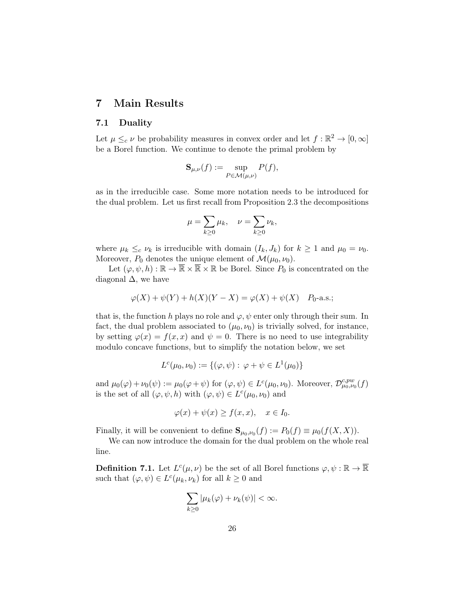# <span id="page-25-0"></span>7 Main Results

#### 7.1 Duality

Let  $\mu \leq_c \nu$  be probability measures in convex order and let  $f : \mathbb{R}^2 \to [0, \infty]$ be a Borel function. We continue to denote the primal problem by

$$
\mathbf{S}_{\mu,\nu}(f) := \sup_{P \in \mathcal{M}(\mu,\nu)} P(f),
$$

as in the irreducible case. Some more notation needs to be introduced for the dual problem. Let us first recall from Proposition [2.3](#page-7-2) the decompositions

$$
\mu = \sum_{k \ge 0} \mu_k, \quad \nu = \sum_{k \ge 0} \nu_k,
$$

where  $\mu_k \leq_c \nu_k$  is irreducible with domain  $(I_k, J_k)$  for  $k \geq 1$  and  $\mu_0 = \nu_0$ . Moreover,  $P_0$  denotes the unique element of  $\mathcal{M}(\mu_0, \nu_0)$ .

Let  $(\varphi, \psi, h) : \mathbb{R} \to \overline{\mathbb{R}} \times \overline{\mathbb{R}} \times \mathbb{R}$  be Borel. Since  $P_0$  is concentrated on the diagonal  $\Delta$ , we have

$$
\varphi(X) + \psi(Y) + h(X)(Y - X) = \varphi(X) + \psi(X) \quad P_0\text{-a.s.};
$$

that is, the function h plays no role and  $\varphi, \psi$  enter only through their sum. In fact, the dual problem associated to  $(\mu_0, \nu_0)$  is trivially solved, for instance, by setting  $\varphi(x) = f(x, x)$  and  $\psi = 0$ . There is no need to use integrability modulo concave functions, but to simplify the notation below, we set

$$
L^{c}(\mu_0, \nu_0) := \{(\varphi, \psi) : \varphi + \psi \in L^{1}(\mu_0)\}
$$

and  $\mu_0(\varphi) + \nu_0(\psi) := \mu_0(\varphi + \psi)$  for  $(\varphi, \psi) \in L^c(\mu_0, \nu_0)$ . Moreover,  $\mathcal{D}^{c, pw}_{\mu_0, \nu_0}(f)$ is the set of all  $(\varphi, \psi, h)$  with  $(\varphi, \psi) \in L^c(\mu_0, \nu_0)$  and

$$
\varphi(x) + \psi(x) \ge f(x, x), \quad x \in I_0.
$$

Finally, it will be convenient to define  $\mathbf{S}_{\mu_0,\nu_0}(f) := P_0(f) \equiv \mu_0(f(X,X)).$ 

We can now introduce the domain for the dual problem on the whole real line.

**Definition 7.1.** Let  $L^c(\mu, \nu)$  be the set of all Borel functions  $\varphi, \psi : \mathbb{R} \to \overline{\mathbb{R}}$ such that  $(\varphi, \psi) \in L^c(\mu_k, \nu_k)$  for all  $k \geq 0$  and

$$
\sum_{k\geq 0}|\mu_k(\varphi)+\nu_k(\psi)|<\infty.
$$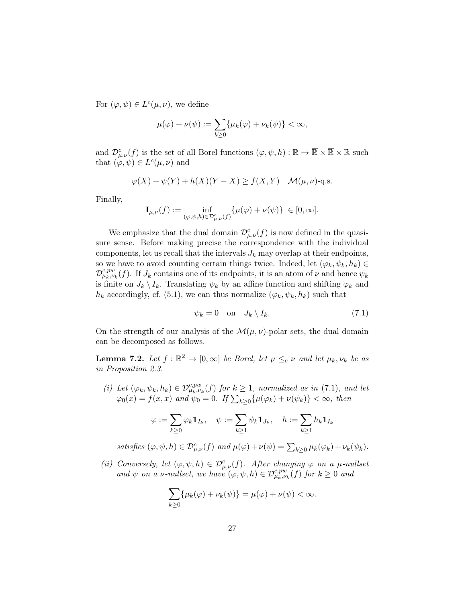For  $(\varphi, \psi) \in L^c(\mu, \nu)$ , we define

$$
\mu(\varphi) + \nu(\psi) := \sum_{k \ge 0} \{ \mu_k(\varphi) + \nu_k(\psi) \} < \infty,
$$

and  $\mathcal{D}^c_{\mu,\nu}(f)$  is the set of all Borel functions  $(\varphi,\psi,h):\mathbb{R}\to\overline{\mathbb{R}}\times\overline{\mathbb{R}}\times\mathbb{R}$  such that  $(\varphi, \psi) \in L^c(\mu, \nu)$  and

$$
\varphi(X) + \psi(Y) + h(X)(Y - X) \ge f(X, Y) \quad \mathcal{M}(\mu, \nu)\text{-q.s.}
$$

Finally,

$$
\mathbf{I}_{\mu,\nu}(f) := \inf_{(\varphi,\psi,h)\in\mathcal{D}^c_{\mu,\nu}(f)} \{\mu(\varphi) + \nu(\psi)\} \in [0,\infty].
$$

We emphasize that the dual domain  $\mathcal{D}^c_{\mu,\nu}(f)$  is now defined in the quasisure sense. Before making precise the correspondence with the individual components, let us recall that the intervals  $J_k$  may overlap at their endpoints, so we have to avoid counting certain things twice. Indeed, let  $(\varphi_k, \psi_k, h_k) \in$  $\mathcal{D}^{c,pw}_{\mu_k,\nu_k}(f)$ . If  $J_k$  contains one of its endpoints, it is an atom of  $\nu$  and hence  $\psi_k$ is finite on  $J_k \setminus I_k$ . Translating  $\psi_k$  by an affine function and shifting  $\varphi_k$  and  $h_k$  accordingly, cf. [\(5.1\)](#page-17-3), we can thus normalize  $(\varphi_k, \psi_k, h_k)$  such that

<span id="page-26-0"></span>
$$
\psi_k = 0 \quad \text{on} \quad J_k \setminus I_k. \tag{7.1}
$$

On the strength of our analysis of the  $\mathcal{M}(\mu, \nu)$ -polar sets, the dual domain can be decomposed as follows.

<span id="page-26-1"></span>**Lemma 7.2.** Let  $f : \mathbb{R}^2 \to [0, \infty]$  be Borel, let  $\mu \leq_c \nu$  and let  $\mu_k, \nu_k$  be as in Proposition [2.3.](#page-7-2)

(i) Let  $(\varphi_k, \psi_k, h_k) \in \mathcal{D}_{\mu_k, \nu_k}^{c, pw}(f)$  for  $k \geq 1$ , normalized as in [\(7.1\)](#page-26-0), and let  $\varphi_0(x) = f(x, x)$  and  $\psi_0 = 0$ . If  $\sum_{k \geq 0} {\{\mu(\varphi_k) + \nu(\psi_k)\}} < \infty$ , then

$$
\varphi:=\sum_{k\geq 0}\varphi_k\mathbf{1}_{I_k},\quad \psi:=\sum_{k\geq 1}\psi_k\mathbf{1}_{J_k},\quad h:=\sum_{k\geq 1}h_k\mathbf{1}_{I_k}
$$

satisfies  $(\varphi, \psi, h) \in \mathcal{D}^c_{\mu,\nu}(f)$  and  $\mu(\varphi) + \nu(\psi) = \sum_{k \geq 0} \mu_k(\varphi_k) + \nu_k(\psi_k)$ .

(ii) Conversely, let  $(\varphi, \psi, h) \in \mathcal{D}^c_{\mu,\nu}(f)$ . After changing  $\varphi$  on a  $\mu$ -nullset and  $\psi$  on a v-nullset, we have  $(\varphi, \psi, h) \in \mathcal{D}^{c, pw}_{\mu_k, \nu_k}(f)$  for  $k \geq 0$  and

$$
\sum_{k\geq 0} {\mu_k(\varphi) + \nu_k(\psi)} = \mu(\varphi) + \nu(\psi) < \infty.
$$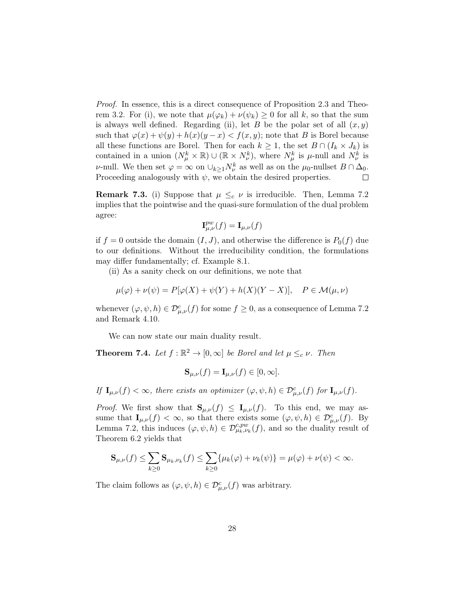Proof. In essence, this is a direct consequence of Proposition [2.3](#page-7-2) and Theo-rem [3.2.](#page-9-0) For (i), we note that  $\mu(\varphi_k) + \nu(\psi_k) \geq 0$  for all k, so that the sum is always well defined. Regarding (ii), let B be the polar set of all  $(x, y)$ such that  $\varphi(x) + \psi(y) + h(x)(y - x) < f(x, y)$ ; note that B is Borel because all these functions are Borel. Then for each  $k \geq 1$ , the set  $B \cap (I_k \times J_k)$  is contained in a union  $(N^k_\mu \times \mathbb{R}) \cup (\mathbb{R} \times N^k_\nu)$ , where  $N^k_\mu$  is  $\mu$ -null and  $N^k_\nu$  is *ν*-null. We then set  $\varphi = \infty$  on  $\cup_{k \geq 1} N_{\nu}^{k}$  as well as on the  $\mu_0$ -nullset  $B \cap \Delta_0$ . Proceeding analogously with  $\psi$ , we obtain the desired properties. □

**Remark 7.3.** (i) Suppose that  $\mu \leq_c \nu$  is irreducible. Then, Lemma [7.2](#page-26-1) implies that the pointwise and the quasi-sure formulation of the dual problem agree:

$$
\mathbf{I}_{\mu,\nu}^{pw}(f) = \mathbf{I}_{\mu,\nu}(f)
$$

if  $f = 0$  outside the domain  $(I, J)$ , and otherwise the difference is  $P_0(f)$  due to our definitions. Without the irreducibility condition, the formulations may differ fundamentally; cf. Example [8.1.](#page-32-0)

(ii) As a sanity check on our definitions, we note that

$$
\mu(\varphi) + \nu(\psi) = P[\varphi(X) + \psi(Y) + h(X)(Y - X)], \quad P \in \mathcal{M}(\mu, \nu)
$$

whenever  $(\varphi, \psi, h) \in \mathcal{D}_{\mu,\nu}^c(f)$  for some  $f \geq 0$ , as a consequence of Lemma [7.2](#page-26-1) and Remark [4.10.](#page-16-1)

We can now state our main duality result.

<span id="page-27-0"></span>**Theorem 7.4.** Let  $f : \mathbb{R}^2 \to [0, \infty]$  be Borel and let  $\mu \leq_c \nu$ . Then

$$
\mathbf{S}_{\mu,\nu}(f) = \mathbf{I}_{\mu,\nu}(f) \in [0,\infty].
$$

If  $\mathbf{I}_{\mu,\nu}(f) < \infty$ , there exists an optimizer  $(\varphi, \psi, h) \in \mathcal{D}^c_{\mu,\nu}(f)$  for  $\mathbf{I}_{\mu,\nu}(f)$ .

*Proof.* We first show that  $S_{\mu,\nu}(f) \leq I_{\mu,\nu}(f)$ . To this end, we may assume that  $\mathbf{I}_{\mu,\nu}(f) < \infty$ , so that there exists some  $(\varphi, \psi, h) \in \mathcal{D}^c_{\mu,\nu}(f)$ . By Lemma [7.2,](#page-26-1) this induces  $(\varphi, \psi, h) \in \mathcal{D}_{\mu_k, \nu_k}^{c, pw}(f)$ , and so the duality result of Theorem [6.2](#page-22-0) yields that

$$
\mathbf{S}_{\mu,\nu}(f) \leq \sum_{k\geq 0} \mathbf{S}_{\mu_k,\nu_k}(f) \leq \sum_{k\geq 0} {\mu_k(\varphi) + \nu_k(\psi)} = \mu(\varphi) + \nu(\psi) < \infty.
$$

The claim follows as  $(\varphi, \psi, h) \in \mathcal{D}^c_{\mu,\nu}(f)$  was arbitrary.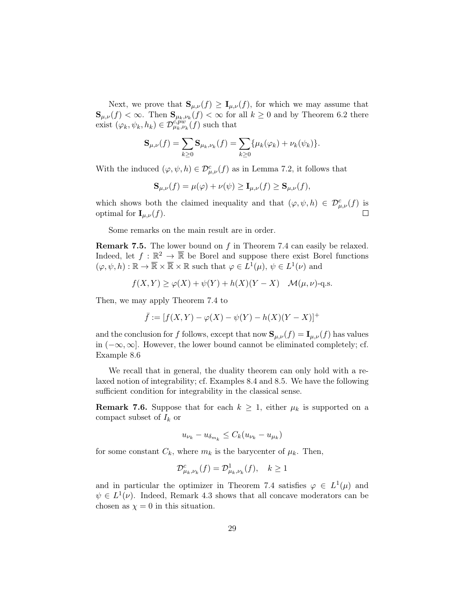Next, we prove that  $\mathbf{S}_{\mu,\nu}(f) \geq \mathbf{I}_{\mu,\nu}(f)$ , for which we may assume that  $\mathbf{S}_{\mu,\nu}(f) < \infty$ . Then  $\mathbf{S}_{\mu_k,\nu_k}(f) < \infty$  for all  $k \geq 0$  and by Theorem [6.2](#page-22-0) there exist  $(\varphi_k, \psi_k, h_k) \in \mathcal{D}_{\mu_k, \nu_k}^{c, \tilde{p}_w^{w}}(f)$  such that

$$
\mathbf{S}_{\mu,\nu}(f) = \sum_{k \ge 0} \mathbf{S}_{\mu_k,\nu_k}(f) = \sum_{k \ge 0} {\mu_k(\varphi_k) + \nu_k(\psi_k)}.
$$

With the induced  $(\varphi, \psi, h) \in \mathcal{D}^c_{\mu,\nu}(f)$  as in Lemma [7.2,](#page-26-1) it follows that

 $\mathbf{S}_{\mu,\nu}(f) = \mu(\varphi) + \nu(\psi) \geq \mathbf{I}_{\mu,\nu}(f) \geq \mathbf{S}_{\mu,\nu}(f),$ 

which shows both the claimed inequality and that  $(\varphi, \psi, h) \in \mathcal{D}^c_{\mu,\nu}(f)$  is optimal for  $\mathbf{I}_{\mu,\nu}(f)$ .  $\Box$ 

Some remarks on the main result are in order.

<span id="page-28-0"></span>Remark 7.5. The lower bound on f in Theorem [7.4](#page-27-0) can easily be relaxed. Indeed, let  $f : \mathbb{R}^2 \to \overline{\mathbb{R}}$  be Borel and suppose there exist Borel functions  $(\varphi, \psi, h) : \mathbb{R} \to \overline{\mathbb{R}} \times \overline{\mathbb{R}} \times \mathbb{R}$  such that  $\varphi \in L^1(\mu), \psi \in L^1(\nu)$  and

$$
f(X,Y) \ge \varphi(X) + \psi(Y) + h(X)(Y - X) \quad \mathcal{M}(\mu, \nu) - \text{q.s.}
$$

Then, we may apply Theorem [7.4](#page-27-0) to

$$
\bar{f} := [f(X, Y) - \varphi(X) - \psi(Y) - h(X)(Y - X)]^{+}
$$

and the conclusion for f follows, except that now  $\mathbf{S}_{\mu,\nu}(f) = \mathbf{I}_{\mu,\nu}(f)$  has values in  $(-\infty, \infty]$ . However, the lower bound cannot be eliminated completely; cf. Example [8.6](#page-37-0)

We recall that in general, the duality theorem can only hold with a relaxed notion of integrability; cf. Examples [8.4](#page-34-0) and [8.5.](#page-36-0) We have the following sufficient condition for integrability in the classical sense.

**Remark 7.6.** Suppose that for each  $k \geq 1$ , either  $\mu_k$  is supported on a compact subset of  $I_k$  or

$$
u_{\nu_k} - u_{\delta_{m_k}} \le C_k (u_{\nu_k} - u_{\mu_k})
$$

for some constant  $C_k$ , where  $m_k$  is the barycenter of  $\mu_k$ . Then,

$$
\mathcal{D}^c_{\mu_k,\nu_k}(f) = \mathcal{D}^1_{\mu_k,\nu_k}(f), \quad k \ge 1
$$

and in particular the optimizer in Theorem [7.4](#page-27-0) satisfies  $\varphi \in L^1(\mu)$  and  $\psi \in L^1(\nu)$ . Indeed, Remark [4.3](#page-14-3) shows that all concave moderators can be chosen as  $\chi = 0$  in this situation.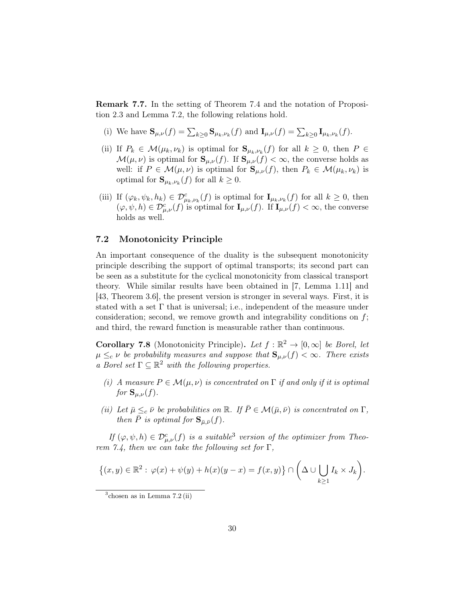Remark 7.7. In the setting of Theorem [7.4](#page-27-0) and the notation of Proposition [2.3](#page-7-2) and Lemma [7.2,](#page-26-1) the following relations hold.

- (i) We have  $\mathbf{S}_{\mu,\nu}(f) = \sum_{k\geq 0} \mathbf{S}_{\mu_k,\nu_k}(f)$  and  $\mathbf{I}_{\mu,\nu}(f) = \sum_{k\geq 0} \mathbf{I}_{\mu_k,\nu_k}(f)$ .
- (ii) If  $P_k \in \mathcal{M}(\mu_k, \nu_k)$  is optimal for  $\mathbf{S}_{\mu_k, \nu_k}(f)$  for all  $k \geq 0$ , then  $P \in$  $\mathcal{M}(\mu, \nu)$  is optimal for  $\mathbf{S}_{\mu, \nu}(f)$ . If  $\mathbf{S}_{\mu, \nu}(f) < \infty$ , the converse holds as well: if  $P \in \mathcal{M}(\mu, \nu)$  is optimal for  $\mathbf{S}_{\mu, \nu}(f)$ , then  $P_k \in \mathcal{M}(\mu_k, \nu_k)$  is optimal for  $\mathbf{S}_{\mu_k,\nu_k}(f)$  for all  $k \geq 0$ .
- (iii) If  $(\varphi_k, \psi_k, h_k) \in \mathcal{D}_{\mu_k, \nu_k}^c(f)$  is optimal for  $\mathbf{I}_{\mu_k, \nu_k}(f)$  for all  $k \geq 0$ , then  $(\varphi, \psi, h) \in \mathcal{D}_{\mu,\nu}^c(f)$  is optimal for  $\mathbf{I}_{\mu,\nu}(f)$ . If  $\mathbf{I}_{\mu,\nu}(f) < \infty$ , the converse holds as well.

### 7.2 Monotonicity Principle

An important consequence of the duality is the subsequent monotonicity principle describing the support of optimal transports; its second part can be seen as a substitute for the cyclical monotonicity from classical transport theory. While similar results have been obtained in [\[7,](#page-39-2) Lemma 1.11] and [\[43,](#page-41-2) Theorem 3.6], the present version is stronger in several ways. First, it is stated with a set  $\Gamma$  that is universal; i.e., independent of the measure under consideration; second, we remove growth and integrability conditions on  $f$ ; and third, the reward function is measurable rather than continuous.

<span id="page-29-0"></span>**Corollary 7.8** (Monotonicity Principle). Let  $f : \mathbb{R}^2 \to [0, \infty]$  be Borel, let  $\mu \leq_c \nu$  be probability measures and suppose that  $\mathbf{S}_{\mu,\nu}(f) < \infty$ . There exists a Borel set  $\Gamma \subseteq \mathbb{R}^2$  with the following properties.

- (i) A measure  $P \in \mathcal{M}(\mu, \nu)$  is concentrated on  $\Gamma$  if and only if it is optimal for  $\mathbf{S}_{\mu,\nu}(f)$ .
- (ii) Let  $\bar{\mu} \leq_c \bar{\nu}$  be probabilities on  $\mathbb{R}$ . If  $\bar{P} \in \mathcal{M}(\bar{\mu}, \bar{\nu})$  is concentrated on  $\Gamma$ , then  $\bar{P}$  is optimal for  $\mathbf{S}_{\bar{\mu}, \bar{\nu}}(f)$ .

If  $(\varphi, \psi, h) \in \mathcal{D}^c_{\mu,\nu}(f)$  is a suitable<sup>[3](#page-29-1)</sup> version of the optimizer from Theo-rem [7.4,](#page-27-0) then we can take the following set for  $\Gamma$ ,

$$
\{(x,y)\in\mathbb{R}^2:\,\varphi(x)+\psi(y)+h(x)(y-x)=f(x,y)\}\cap\bigg(\Delta\cup\bigcup_{k\geq 1}I_k\times J_k\bigg).
$$

<span id="page-29-1"></span> $3^3$ chosen as in Lemma [7.2](#page-26-1) (ii)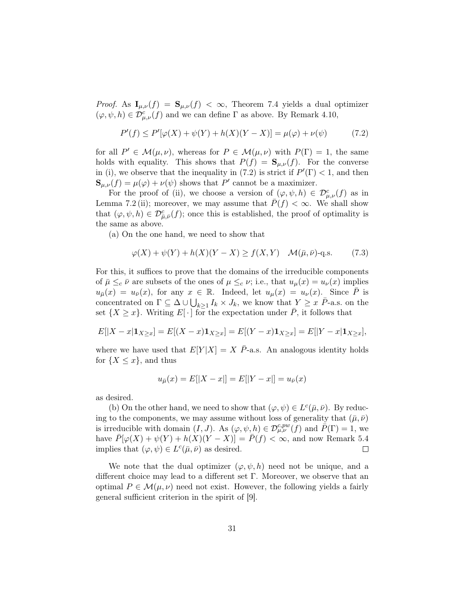*Proof.* As  $I_{\mu,\nu}(f) = S_{\mu,\nu}(f) < \infty$ , Theorem [7.4](#page-27-0) yields a dual optimizer  $(\varphi, \psi, h) \in \mathcal{D}_{\mu,\nu}^{c}(f)$  and we can define  $\Gamma$  as above. By Remark [4.10,](#page-16-1)

<span id="page-30-0"></span>
$$
P'(f) \le P'[\varphi(X) + \psi(Y) + h(X)(Y - X)] = \mu(\varphi) + \nu(\psi)
$$
 (7.2)

for all  $P' \in \mathcal{M}(\mu, \nu)$ , whereas for  $P \in \mathcal{M}(\mu, \nu)$  with  $P(\Gamma) = 1$ , the same holds with equality. This shows that  $P(f) = \mathbf{S}_{\mu,\nu}(f)$ . For the converse in (i), we observe that the inequality in [\(7.2\)](#page-30-0) is strict if  $P'(\Gamma) < 1$ , and then  $\mathbf{S}_{\mu,\nu}(f) = \mu(\varphi) + \nu(\psi)$  shows that P' cannot be a maximizer.

For the proof of (ii), we choose a version of  $(\varphi, \psi, h) \in \mathcal{D}^c_{\mu,\nu}(f)$  as in Lemma [7.2](#page-26-1) (ii); moreover, we may assume that  $P(f) < \infty$ . We shall show that  $(\varphi, \psi, h) \in \mathcal{D}_{\bar{\mu}, \bar{\nu}}^c(f)$ ; once this is established, the proof of optimality is the same as above.

(a) On the one hand, we need to show that

$$
\varphi(X) + \psi(Y) + h(X)(Y - X) \ge f(X, Y) \quad \mathcal{M}(\bar{\mu}, \bar{\nu}) \text{-q.s.} \tag{7.3}
$$

For this, it suffices to prove that the domains of the irreducible components of  $\bar{\mu} \leq_c \bar{\nu}$  are subsets of the ones of  $\mu \leq_c \nu$ ; i.e., that  $u_{\mu}(x) = u_{\nu}(x)$  implies  $u_{\bar{\mu}}(x) = u_{\bar{\nu}}(x)$ , for any  $x \in \mathbb{R}$ . Indeed, let  $u_{\mu}(x) = u_{\nu}(x)$ . Since  $\bar{P}$  is concentrated on  $\Gamma \subseteq \Delta \cup \bigcup_{k\geq 1} I_k \times J_k$ , we know that  $Y \geq x \bar{P}$ -a.s. on the set  $\{X \geq x\}$ . Writing  $E[\cdot]$  for the expectation under P, it follows that

$$
E[|X - x| \mathbf{1}_{X \ge x}] = E[(X - x)\mathbf{1}_{X \ge x}] = E[(Y - x)\mathbf{1}_{X \ge x}] = E[|Y - x|\mathbf{1}_{X \ge x}],
$$

where we have used that  $E[Y|X] = X \bar{P}$ -a.s. An analogous identity holds for  $\{X \leq x\}$ , and thus

$$
u_{\bar{\mu}}(x) = E[|X - x|] = E[|Y - x|] = u_{\bar{\nu}}(x)
$$

as desired.

(b) On the other hand, we need to show that  $(\varphi, \psi) \in L^c(\bar{\mu}, \bar{\nu})$ . By reducing to the components, we may assume without loss of generality that  $(\bar{\mu}, \bar{\nu})$ is irreducible with domain  $(I, J)$ . As  $(\varphi, \psi, h) \in \mathcal{D}_{\mu,\nu}^{c, pw}(f)$  and  $\overline{P}(\Gamma) = 1$ , we have  $\bar{P}[\varphi(X) + \psi(Y) + h(X)(Y - X)] = \bar{P}(f) < \infty$ , and now Remark [5.4](#page-18-1) implies that  $(\varphi, \psi) \in L^c(\bar{\mu}, \bar{\nu})$  as desired.  $\Box$ 

We note that the dual optimizer  $(\varphi, \psi, h)$  need not be unique, and a different choice may lead to a different set Γ. Moreover, we observe that an optimal  $P \in \mathcal{M}(\mu, \nu)$  need not exist. However, the following yields a fairly general sufficient criterion in the spirit of [\[9\]](#page-39-15).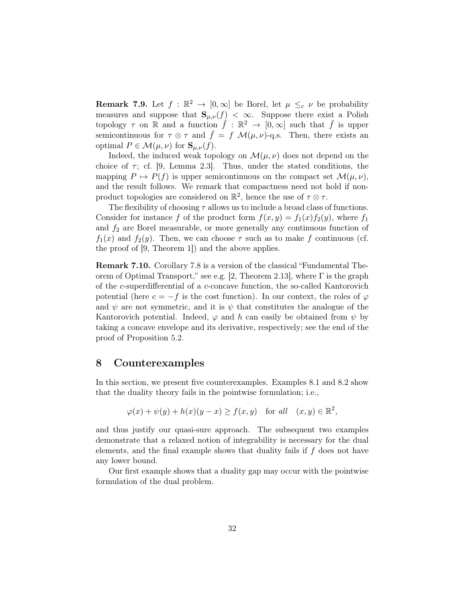**Remark 7.9.** Let  $f : \mathbb{R}^2 \to [0,\infty]$  be Borel, let  $\mu \leq_c \nu$  be probability measures and suppose that  $\mathbf{S}_{\mu,\nu}(f) < \infty$ . Suppose there exist a Polish topology  $\tau$  on R and a function  $\bar{f}: \mathbb{R}^2 \to [0,\infty]$  such that  $\bar{f}$  is upper semicontinuous for  $\tau \otimes \tau$  and  $\bar{f} = f \mathcal{M}(\mu, \nu)$ -q.s. Then, there exists an optimal  $P \in \mathcal{M}(\mu, \nu)$  for  $\mathbf{S}_{\mu, \nu}(f)$ .

Indeed, the induced weak topology on  $\mathcal{M}(\mu, \nu)$  does not depend on the choice of  $\tau$ ; cf. [\[9,](#page-39-15) Lemma 2.3]. Thus, under the stated conditions, the mapping  $P \mapsto P(f)$  is upper semicontinuous on the compact set  $\mathcal{M}(\mu, \nu)$ , and the result follows. We remark that compactness need not hold if nonproduct topologies are considered on  $\mathbb{R}^2$ , hence the use of  $\tau \otimes \tau$ .

The flexibility of choosing  $\tau$  allows us to include a broad class of functions. Consider for instance f of the product form  $f(x, y) = f_1(x) f_2(y)$ , where  $f_1$ and  $f_2$  are Borel measurable, or more generally any continuous function of  $f_1(x)$  and  $f_2(y)$ . Then, we can choose  $\tau$  such as to make f continuous (cf. the proof of [\[9,](#page-39-15) Theorem 1]) and the above applies.

Remark 7.10. Corollary [7.8](#page-29-0) is a version of the classical "Fundamental The-orem of Optimal Transport," see e.g. [\[2,](#page-39-0) Theorem 2.13], where  $\Gamma$  is the graph of the c-superdifferential of a c-concave function, the so-called Kantorovich potential (here  $c = -f$  is the cost function). In our context, the roles of  $\varphi$ and  $\psi$  are not symmetric, and it is  $\psi$  that constitutes the analogue of the Kantorovich potential. Indeed,  $\varphi$  and h can easily be obtained from  $\psi$  by taking a concave envelope and its derivative, respectively; see the end of the proof of Proposition [5.2.](#page-17-0)

# <span id="page-31-0"></span>8 Counterexamples

In this section, we present five counterexamples. Examples [8.1](#page-32-0) and [8.2](#page-33-0) show that the duality theory fails in the pointwise formulation; i.e.,

$$
\varphi(x) + \psi(y) + h(x)(y - x) \ge f(x, y) \quad \text{for all} \quad (x, y) \in \mathbb{R}^2,
$$

and thus justify our quasi-sure approach. The subsequent two examples demonstrate that a relaxed notion of integrability is necessary for the dual elements, and the final example shows that duality fails if  $f$  does not have any lower bound.

Our first example shows that a duality gap may occur with the pointwise formulation of the dual problem.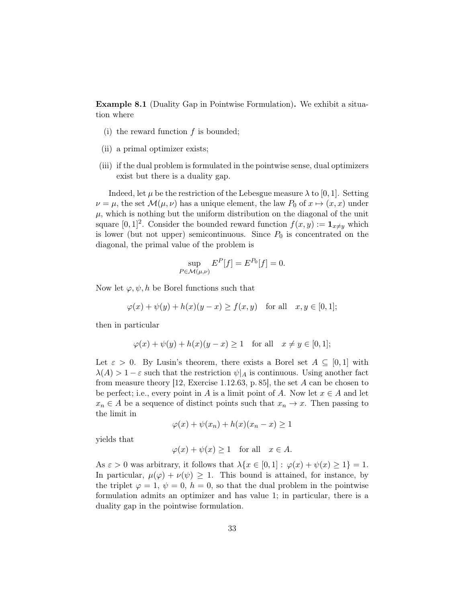<span id="page-32-0"></span>Example 8.1 (Duality Gap in Pointwise Formulation). We exhibit a situation where

- (i) the reward function  $f$  is bounded;
- (ii) a primal optimizer exists;
- (iii) if the dual problem is formulated in the pointwise sense, dual optimizers exist but there is a duality gap.

Indeed, let  $\mu$  be the restriction of the Lebesgue measure  $\lambda$  to [0, 1]. Setting  $\nu = \mu$ , the set  $\mathcal{M}(\mu, \nu)$  has a unique element, the law  $P_0$  of  $x \mapsto (x, x)$  under  $\mu$ , which is nothing but the uniform distribution on the diagonal of the unit square  $[0,1]^2$ . Consider the bounded reward function  $f(x,y) := \mathbf{1}_{x \neq y}$  which is lower (but not upper) semicontinuous. Since  $P_0$  is concentrated on the diagonal, the primal value of the problem is

$$
\sup_{P \in \mathcal{M}(\mu,\nu)} E^P[f] = E^{P_0}[f] = 0.
$$

Now let  $\varphi, \psi, h$  be Borel functions such that

$$
\varphi(x) + \psi(y) + h(x)(y - x) \ge f(x, y) \quad \text{for all} \quad x, y \in [0, 1];
$$

then in particular

$$
\varphi(x) + \psi(y) + h(x)(y - x) \ge 1 \quad \text{for all} \quad x \ne y \in [0, 1];
$$

Let  $\varepsilon > 0$ . By Lusin's theorem, there exists a Borel set  $A \subseteq [0,1]$  with  $\lambda(A) > 1 - \varepsilon$  such that the restriction  $\psi|_A$  is continuous. Using another fact from measure theory [\[12,](#page-39-16) Exercise 1.12.63, p. 85], the set  $A$  can be chosen to be perfect; i.e., every point in A is a limit point of A. Now let  $x \in A$  and let  $x_n \in A$  be a sequence of distinct points such that  $x_n \to x$ . Then passing to the limit in

$$
\varphi(x) + \psi(x_n) + h(x)(x_n - x) \ge 1
$$

yields that

$$
\varphi(x) + \psi(x) \ge 1
$$
 for all  $x \in A$ .

As  $\varepsilon > 0$  was arbitrary, it follows that  $\lambda \{x \in [0,1] : \varphi(x) + \psi(x) \geq 1\} = 1$ . In particular,  $\mu(\varphi) + \nu(\psi) \geq 1$ . This bound is attained, for instance, by the triplet  $\varphi = 1, \psi = 0, h = 0$ , so that the dual problem in the pointwise formulation admits an optimizer and has value 1; in particular, there is a duality gap in the pointwise formulation.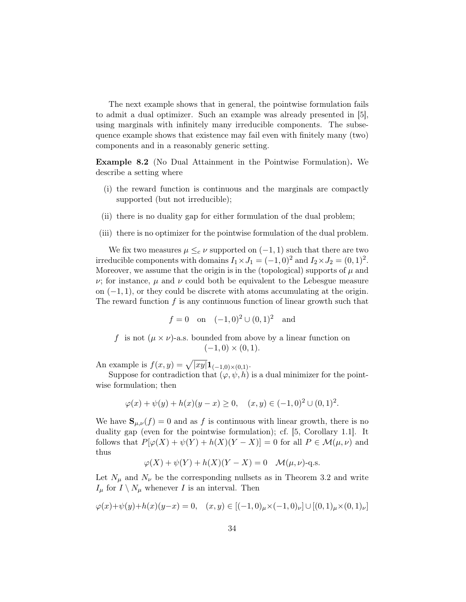The next example shows that in general, the pointwise formulation fails to admit a dual optimizer. Such an example was already presented in [\[5\]](#page-39-1), using marginals with infinitely many irreducible components. The subsequence example shows that existence may fail even with finitely many (two) components and in a reasonably generic setting.

<span id="page-33-0"></span>Example 8.2 (No Dual Attainment in the Pointwise Formulation). We describe a setting where

- (i) the reward function is continuous and the marginals are compactly supported (but not irreducible);
- (ii) there is no duality gap for either formulation of the dual problem;
- (iii) there is no optimizer for the pointwise formulation of the dual problem.

We fix two measures  $\mu \leq_c \nu$  supported on  $(-1, 1)$  such that there are two irreducible components with domains  $I_1 \times J_1 = (-1,0)^2$  and  $I_2 \times J_2 = (0,1)^2$ . Moreover, we assume that the origin is in the (topological) supports of  $\mu$  and ν; for instance, µ and ν could both be equivalent to the Lebesgue measure on  $(-1, 1)$ , or they could be discrete with atoms accumulating at the origin. The reward function  $f$  is any continuous function of linear growth such that

$$
f = 0
$$
 on  $(-1,0)^2 \cup (0,1)^2$  and

f is not  $(\mu \times \nu)$ -a.s. bounded from above by a linear function on  $(-1, 0) \times (0, 1).$ 

An example is  $f(x, y) = \sqrt{|xy|} \mathbf{1}_{(-1,0) \times (0,1)}$ .

Suppose for contradiction that  $(\varphi, \psi, h)$  is a dual minimizer for the pointwise formulation; then

$$
\varphi(x) + \psi(y) + h(x)(y - x) \ge 0, \quad (x, y) \in (-1, 0)^2 \cup (0, 1)^2.
$$

We have  $S_{\mu,\nu}(f) = 0$  and as f is continuous with linear growth, there is no duality gap (even for the pointwise formulation); cf. [\[5,](#page-39-1) Corollary 1.1]. It follows that  $P[\varphi(X) + \psi(Y) + h(X)(Y - X)] = 0$  for all  $P \in \mathcal{M}(\mu, \nu)$  and thus

$$
\varphi(X) + \psi(Y) + h(X)(Y - X) = 0 \quad \mathcal{M}(\mu, \nu) - \text{q.s.}
$$

Let  $N_{\mu}$  and  $N_{\nu}$  be the corresponding nullsets as in Theorem [3.2](#page-9-0) and write  $I_{\mu}$  for  $I \setminus N_{\mu}$  whenever I is an interval. Then

$$
\varphi(x) + \psi(y) + h(x)(y - x) = 0, \quad (x, y) \in [(-1, 0)_{\mu} \times (-1, 0)_{\nu}] \cup [(0, 1)_{\mu} \times (0, 1)_{\nu}]
$$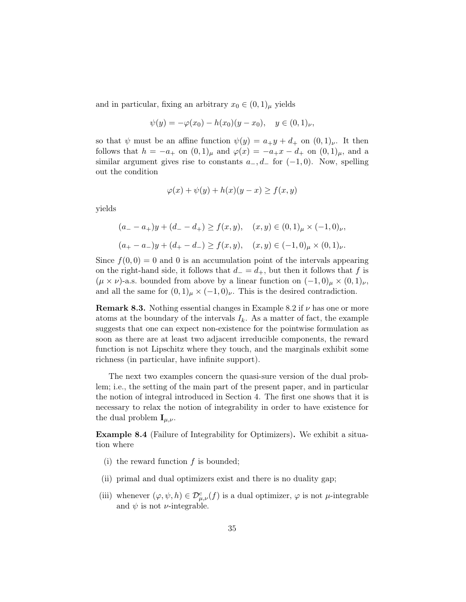and in particular, fixing an arbitrary  $x_0 \in (0,1)$ <sub>µ</sub> yields

$$
\psi(y) = -\varphi(x_0) - h(x_0)(y - x_0), \quad y \in (0, 1)_\nu,
$$

so that  $\psi$  must be an affine function  $\psi(y) = a_{+}y + d_{+}$  on  $(0,1)_{\nu}$ . It then follows that  $h = -a_+$  on  $(0, 1)_{\mu}$  and  $\varphi(x) = -a_+x - d_+$  on  $(0, 1)_{\mu}$ , and a similar argument gives rise to constants  $a_-, d_-$  for  $(-1, 0)$ . Now, spelling out the condition

$$
\varphi(x) + \psi(y) + h(x)(y - x) \ge f(x, y)
$$

yields

$$
(a_{-} - a_{+})y + (d_{-} - d_{+}) \ge f(x, y), \quad (x, y) \in (0, 1)_{\mu} \times (-1, 0)_{\nu},
$$

$$
(a_{+} - a_{-})y + (d_{+} - d_{-}) \ge f(x, y), \quad (x, y) \in (-1, 0)_{\mu} \times (0, 1)_{\nu}.
$$

Since  $f(0, 0) = 0$  and 0 is an accumulation point of the intervals appearing on the right-hand side, it follows that  $d_-=d_+$ , but then it follows that f is  $(\mu \times \nu)$ -a.s. bounded from above by a linear function on  $(-1,0)_{\mu} \times (0,1)_{\nu}$ , and all the same for  $(0,1)_{\mu} \times (-1,0)_{\nu}$ . This is the desired contradiction.

**Remark 8.3.** Nothing essential changes in Example [8.2](#page-33-0) if  $\nu$  has one or more atoms at the boundary of the intervals  $I_k$ . As a matter of fact, the example suggests that one can expect non-existence for the pointwise formulation as soon as there are at least two adjacent irreducible components, the reward function is not Lipschitz where they touch, and the marginals exhibit some richness (in particular, have infinite support).

The next two examples concern the quasi-sure version of the dual problem; i.e., the setting of the main part of the present paper, and in particular the notion of integral introduced in Section [4.](#page-11-0) The first one shows that it is necessary to relax the notion of integrability in order to have existence for the dual problem  $\mathbf{I}_{\mu,\nu}$ .

<span id="page-34-0"></span>Example 8.4 (Failure of Integrability for Optimizers). We exhibit a situation where

- (i) the reward function  $f$  is bounded;
- (ii) primal and dual optimizers exist and there is no duality gap;
- (iii) whenever  $(\varphi, \psi, h) \in \mathcal{D}^c_{\mu,\nu}(f)$  is a dual optimizer,  $\varphi$  is not  $\mu$ -integrable and  $\psi$  is not  $\nu$ -integrable.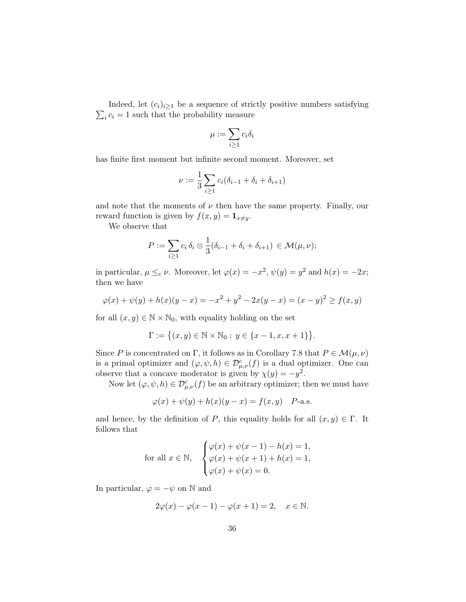$\sum_i c_i = 1$  such that the probability measure Indeed, let  $(c_i)_{i\geq 1}$  be a sequence of strictly positive numbers satisfying

$$
\mu:=\sum_{i\geq 1}c_i\delta_i
$$

has finite first moment but infinite second moment. Moreover, set

$$
\nu := \frac{1}{3} \sum_{i \ge 1} c_i (\delta_{i-1} + \delta_i + \delta_{i+1})
$$

and note that the moments of  $\nu$  then have the same property. Finally, our reward function is given by  $f(x, y) = \mathbf{1}_{x \neq y}$ .

We observe that

$$
P := \sum_{i \geq 1} c_i \, \delta_i \otimes \frac{1}{3} (\delta_{i-1} + \delta_i + \delta_{i+1}) \in \mathcal{M}(\mu, \nu);
$$

in particular,  $\mu \leq_c \nu$ . Moreover, let  $\varphi(x) = -x^2$ ,  $\psi(y) = y^2$  and  $h(x) = -2x$ ; then we have

$$
\varphi(x) + \psi(y) + h(x)(y - x) = -x^2 + y^2 - 2x(y - x) = (x - y)^2 \ge f(x, y)
$$

for all  $(x, y) \in \mathbb{N} \times \mathbb{N}_0$ , with equality holding on the set

$$
\Gamma := \big\{ (x, y) \in \mathbb{N} \times \mathbb{N}_0 : y \in \{x - 1, x, x + 1\} \big\}.
$$

Since P is concentrated on Γ, it follows as in Corollary [7.8](#page-29-0) that  $P \in \mathcal{M}(\mu, \nu)$ is a primal optimizer and  $(\varphi, \psi, h) \in \mathcal{D}^c_{\mu,\nu}(f)$  is a dual optimizer. One can observe that a concave moderator is given by  $\chi(y) = -y^2$ .

Now let  $(\varphi, \psi, h) \in \mathcal{D}_{\mu,\nu}^c(f)$  be an arbitrary optimizer; then we must have

$$
\varphi(x) + \psi(y) + h(x)(y - x) = f(x, y) \quad P\text{-a.s.}
$$

and hence, by the definition of P, this equality holds for all  $(x, y) \in \Gamma$ . It follows that

for all 
$$
x \in \mathbb{N}
$$
, 
$$
\begin{cases} \varphi(x) + \psi(x-1) - h(x) = 1, \\ \varphi(x) + \psi(x+1) + h(x) = 1, \\ \varphi(x) + \psi(x) = 0. \end{cases}
$$

In particular,  $\varphi = -\psi$  on N and

$$
2\varphi(x) - \varphi(x-1) - \varphi(x+1) = 2, \quad x \in \mathbb{N}.
$$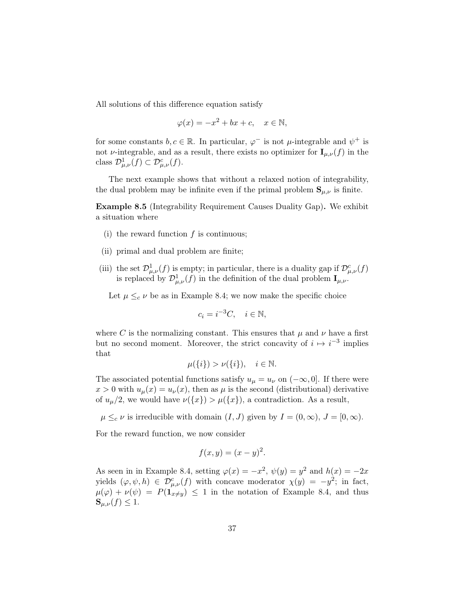All solutions of this difference equation satisfy

$$
\varphi(x) = -x^2 + bx + c, \quad x \in \mathbb{N},
$$

for some constants  $b, c \in \mathbb{R}$ . In particular,  $\varphi^-$  is not  $\mu$ -integrable and  $\psi^+$  is not v-integrable, and as a result, there exists no optimizer for  $\mathbf{I}_{\mu,\nu}(f)$  in the class  $\mathcal{D}^1_{\mu,\nu}(f) \subset \mathcal{D}^c_{\mu,\nu}(f)$ .

The next example shows that without a relaxed notion of integrability, the dual problem may be infinite even if the primal problem  $S_{\mu,\nu}$  is finite.

<span id="page-36-0"></span>Example 8.5 (Integrability Requirement Causes Duality Gap). We exhibit a situation where

- (i) the reward function  $f$  is continuous;
- (ii) primal and dual problem are finite;
- (iii) the set  $\mathcal{D}^1_{\mu,\nu}(f)$  is empty; in particular, there is a duality gap if  $\mathcal{D}^c_{\mu,\nu}(f)$ is replaced by  $\mathcal{D}^1_{\mu,\nu}(f)$  in the definition of the dual problem  $\mathbf{I}_{\mu,\nu}$ .

Let  $\mu \leq_c \nu$  be as in Example [8.4;](#page-34-0) we now make the specific choice

$$
c_i = i^{-3}C, \quad i \in \mathbb{N},
$$

where C is the normalizing constant. This ensures that  $\mu$  and  $\nu$  have a first but no second moment. Moreover, the strict concavity of  $i \mapsto i^{-3}$  implies that

$$
\mu({i}) > \nu({i}), \quad i \in \mathbb{N}.
$$

The associated potential functions satisfy  $u_{\mu} = u_{\nu}$  on  $(-\infty, 0]$ . If there were  $x > 0$  with  $u_{\mu}(x) = u_{\nu}(x)$ , then as  $\mu$  is the second (distributional) derivative of  $u_\mu/2$ , we would have  $\nu({x}) > \mu({x})$ , a contradiction. As a result,

 $\mu \leq_c \nu$  is irreducible with domain  $(I, J)$  given by  $I = (0, \infty), J = [0, \infty)$ .

For the reward function, we now consider

$$
f(x, y) = (x - y)^2.
$$

As seen in in Example [8.4,](#page-34-0) setting  $\varphi(x) = -x^2$ ,  $\psi(y) = y^2$  and  $h(x) = -2x$ yields  $(\varphi, \psi, h) \in \mathcal{D}^c_{\mu,\nu}(f)$  with concave moderator  $\chi(y) = -y^2$ ; in fact,  $\mu(\varphi) + \nu(\psi) = P(\mathbf{1}_{x \neq y}) \leq 1$  in the notation of Example [8.4,](#page-34-0) and thus  $\mathbf{S}_{\mu,\nu}(f) \leq 1.$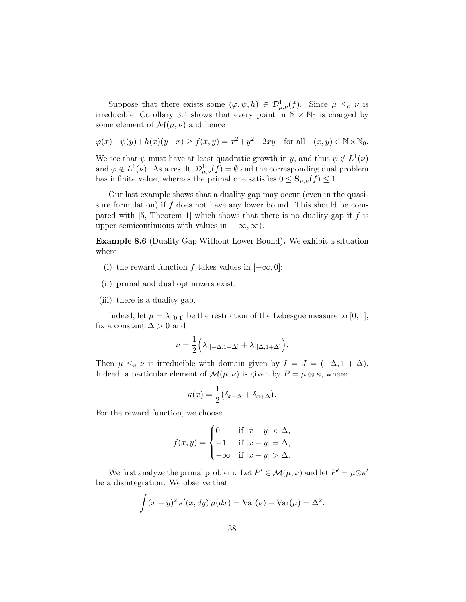Suppose that there exists some  $(\varphi, \psi, h) \in \mathcal{D}^1_{\mu,\nu}(f)$ . Since  $\mu \leq_c \nu$  is irreducible, Corollary [3.4](#page-11-1) shows that every point in  $\mathbb{N} \times \mathbb{N}_0$  is charged by some element of  $\mathcal{M}(\mu, \nu)$  and hence

$$
\varphi(x) + \psi(y) + h(x)(y - x) \ge f(x, y) = x^2 + y^2 - 2xy \quad \text{for all} \quad (x, y) \in \mathbb{N} \times \mathbb{N}_0.
$$

We see that  $\psi$  must have at least quadratic growth in y, and thus  $\psi \notin L^1(\nu)$ and  $\varphi \notin L^1(\nu)$ . As a result,  $\mathcal{D}^1_{\mu,\nu}(f) = \emptyset$  and the corresponding dual problem has infinite value, whereas the primal one satisfies  $0 \leq S_{\mu,\nu}(f) \leq 1$ .

Our last example shows that a duality gap may occur (even in the quasisure formulation) if  $f$  does not have any lower bound. This should be com-pared with [\[5,](#page-39-1) Theorem 1] which shows that there is no duality gap if  $f$  is upper semicontinuous with values in  $[-\infty, \infty)$ .

<span id="page-37-0"></span>Example 8.6 (Duality Gap Without Lower Bound). We exhibit a situation where

- (i) the reward function f takes values in  $[-\infty, 0]$ ;
- (ii) primal and dual optimizers exist;
- (iii) there is a duality gap.

Indeed, let  $\mu = \lambda |_{[0,1]}$  be the restriction of the Lebesgue measure to [0, 1], fix a constant  $\Delta > 0$  and

$$
\nu = \frac{1}{2} \Big( \lambda|_{[-\Delta, 1-\Delta]} + \lambda|_{[\Delta, 1+\Delta]} \Big).
$$

Then  $\mu \leq_c \nu$  is irreducible with domain given by  $I = J = (-\Delta, 1 + \Delta)$ . Indeed, a particular element of  $\mathcal{M}(\mu, \nu)$  is given by  $P = \mu \otimes \kappa$ , where

$$
\kappa(x) = \frac{1}{2} (\delta_{x-\Delta} + \delta_{x+\Delta}).
$$

For the reward function, we choose

$$
f(x,y) = \begin{cases} 0 & \text{if } |x-y| < \Delta, \\ -1 & \text{if } |x-y| = \Delta, \\ -\infty & \text{if } |x-y| > \Delta. \end{cases}
$$

We first analyze the primal problem. Let  $P' \in \mathcal{M}(\mu, \nu)$  and let  $P' = \mu \otimes \kappa'$ be a disintegration. We observe that

$$
\int (x - y)^2 \kappa'(x, dy) \mu(dx) = \text{Var}(\nu) - \text{Var}(\mu) = \Delta^2.
$$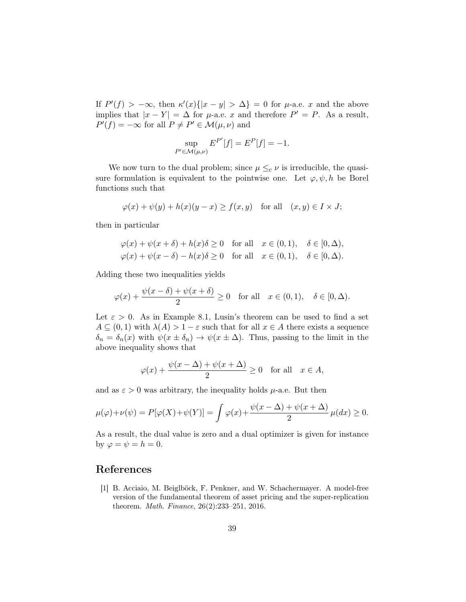If  $P'(f) > -\infty$ , then  $\kappa'(x)\{|x - y| > \Delta\} = 0$  for  $\mu$ -a.e. x and the above implies that  $|x - Y| = \Delta$  for  $\mu$ -a.e. x and therefore  $P' = P$ . As a result,  $P'(f) = -\infty$  for all  $P \neq P' \in \mathcal{M}(\mu, \nu)$  and

$$
\sup_{P' \in \mathcal{M}(\mu,\nu)} E^{P'}[f] = E^{P}[f] = -1.
$$

We now turn to the dual problem; since  $\mu \leq_c \nu$  is irreducible, the quasisure formulation is equivalent to the pointwise one. Let  $\varphi, \psi, h$  be Borel functions such that

$$
\varphi(x) + \psi(y) + h(x)(y - x) \ge f(x, y) \quad \text{for all} \quad (x, y) \in I \times J;
$$

then in particular

$$
\varphi(x) + \psi(x + \delta) + h(x)\delta \ge 0 \quad \text{for all} \quad x \in (0, 1), \quad \delta \in [0, \Delta),
$$
  

$$
\varphi(x) + \psi(x - \delta) - h(x)\delta \ge 0 \quad \text{for all} \quad x \in (0, 1), \quad \delta \in [0, \Delta).
$$

Adding these two inequalities yields

$$
\varphi(x) + \frac{\psi(x-\delta) + \psi(x+\delta)}{2} \ge 0 \quad \text{for all} \quad x \in (0,1), \quad \delta \in [0,\Delta).
$$

Let  $\varepsilon > 0$ . As in Example [8.1,](#page-32-0) Lusin's theorem can be used to find a set  $A \subseteq (0,1)$  with  $\lambda(A) > 1 - \varepsilon$  such that for all  $x \in A$  there exists a sequence  $\delta_n = \delta_n(x)$  with  $\psi(x \pm \delta_n) \rightarrow \psi(x \pm \Delta)$ . Thus, passing to the limit in the above inequality shows that

$$
\varphi(x) + \frac{\psi(x - \Delta) + \psi(x + \Delta)}{2} \ge 0 \quad \text{for all} \quad x \in A,
$$

and as  $\varepsilon > 0$  was arbitrary, the inequality holds  $\mu$ -a.e. But then

$$
\mu(\varphi) + \nu(\psi) = P[\varphi(X) + \psi(Y)] = \int \varphi(x) + \frac{\psi(x - \Delta) + \psi(x + \Delta)}{2} \mu(dx) \ge 0.
$$

As a result, the dual value is zero and a dual optimizer is given for instance by  $\varphi = \psi = h = 0$ .

# References

<span id="page-38-0"></span>[1] B. Acciaio, M. Beiglböck, F. Penkner, and W. Schachermayer. A model-free version of the fundamental theorem of asset pricing and the super-replication theorem. Math. Finance, 26(2):233–251, 2016.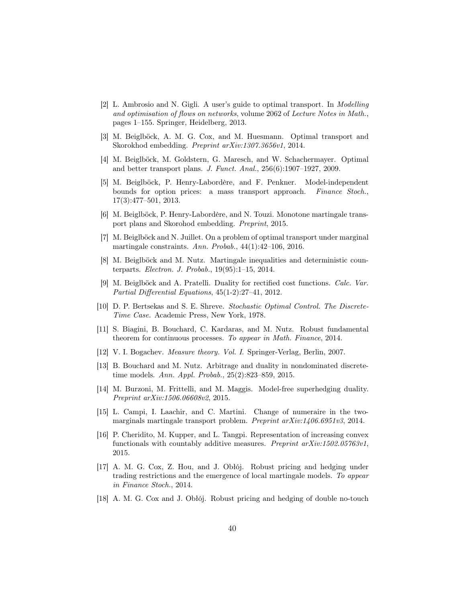- <span id="page-39-0"></span>[2] L. Ambrosio and N. Gigli. A user's guide to optimal transport. In Modelling and optimisation of flows on networks, volume 2062 of Lecture Notes in Math., pages 1–155. Springer, Heidelberg, 2013.
- <span id="page-39-3"></span>[3] M. Beiglböck, A. M. G. Cox, and M. Huesmann. Optimal transport and Skorokhod embedding. Preprint arXiv:1307.3656v1, 2014.
- <span id="page-39-13"></span>[4] M. Beiglböck, M. Goldstern, G. Maresch, and W. Schachermayer. Optimal and better transport plans. J. Funct. Anal., 256(6):1907–1927, 2009.
- <span id="page-39-1"></span>[5] M. Beiglböck, P. Henry-Labordère, and F. Penkner. Model-independent bounds for option prices: a mass transport approach. Finance Stoch., 17(3):477–501, 2013.
- <span id="page-39-9"></span>[6] M. Beiglböck, P. Henry-Labordère, and N. Touzi. Monotone martingale transport plans and Skorohod embedding. Preprint, 2015.
- <span id="page-39-2"></span>[7] M. Beiglböck and N. Juillet. On a problem of optimal transport under marginal martingale constraints. Ann. Probab., 44(1):42–106, 2016.
- <span id="page-39-4"></span>[8] M. Beiglböck and M. Nutz. Martingale inequalities and deterministic counterparts. Electron. J. Probab., 19(95):1–15, 2014.
- <span id="page-39-15"></span>[9] M. Beiglböck and A. Pratelli. Duality for rectified cost functions. Calc. Var. Partial Differential Equations, 45(1-2):27–41, 2012.
- <span id="page-39-14"></span>[10] D. P. Bertsekas and S. E. Shreve. Stochastic Optimal Control. The Discrete-Time Case. Academic Press, New York, 1978.
- <span id="page-39-10"></span>[11] S. Biagini, B. Bouchard, C. Kardaras, and M. Nutz. Robust fundamental theorem for continuous processes. To appear in Math. Finance, 2014.
- <span id="page-39-16"></span>[12] V. I. Bogachev. Measure theory. Vol. I. Springer-Verlag, Berlin, 2007.
- <span id="page-39-5"></span>[13] B. Bouchard and M. Nutz. Arbitrage and duality in nondominated discretetime models. Ann. Appl. Probab., 25(2):823–859, 2015.
- <span id="page-39-6"></span>[14] M. Burzoni, M. Frittelli, and M. Maggis. Model-free superhedging duality. Preprint arXiv:1506.06608v2, 2015.
- <span id="page-39-7"></span>[15] L. Campi, I. Laachir, and C. Martini. Change of numeraire in the twomarginals martingale transport problem. Preprint arXiv:1406.6951v3, 2014.
- <span id="page-39-8"></span>[16] P. Cheridito, M. Kupper, and L. Tangpi. Representation of increasing convex functionals with countably additive measures. Preprint arXiv:1502.05763v1, 2015.
- <span id="page-39-12"></span>[17] A. M. G. Cox, Z. Hou, and J. Obłój. Robust pricing and hedging under trading restrictions and the emergence of local martingale models. To appear in Finance Stoch., 2014.
- <span id="page-39-11"></span>[18] A. M. G. Cox and J. Obłój. Robust pricing and hedging of double no-touch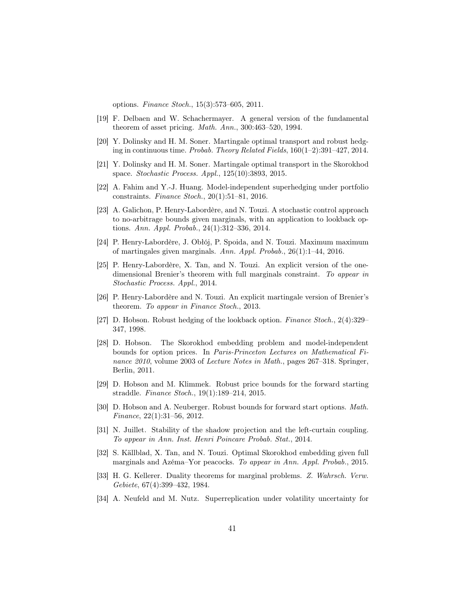options. Finance Stoch., 15(3):573–605, 2011.

- <span id="page-40-15"></span>[19] F. Delbaen and W. Schachermayer. A general version of the fundamental theorem of asset pricing. Math. Ann., 300:463–520, 1994.
- <span id="page-40-8"></span>[20] Y. Dolinsky and H. M. Soner. Martingale optimal transport and robust hedging in continuous time. Probab. Theory Related Fields, 160(1–2):391–427, 2014.
- <span id="page-40-9"></span>[21] Y. Dolinsky and H. M. Soner. Martingale optimal transport in the Skorokhod space. Stochastic Process. Appl., 125(10):3893, 2015.
- <span id="page-40-7"></span>[22] A. Fahim and Y.-J. Huang. Model-independent superhedging under portfolio constraints. Finance Stoch., 20(1):51–81, 2016.
- <span id="page-40-0"></span>[23] A. Galichon, P. Henry-Labordère, and N. Touzi. A stochastic control approach to no-arbitrage bounds given marginals, with an application to lookback options. Ann. Appl. Probab., 24(1):312–336, 2014.
- <span id="page-40-10"></span>[24] P. Henry-Labordère, J. Obłój, P. Spoida, and N. Touzi. Maximum maximum of martingales given marginals. Ann. Appl. Probab., 26(1):1–44, 2016.
- <span id="page-40-11"></span>[25] P. Henry-Labordère, X. Tan, and N. Touzi. An explicit version of the onedimensional Brenier's theorem with full marginals constraint. To appear in Stochastic Process. Appl., 2014.
- <span id="page-40-2"></span>[26] P. Henry-Labordère and N. Touzi. An explicit martingale version of Brenier's theorem. To appear in Finance Stoch., 2013.
- <span id="page-40-5"></span>[27] D. Hobson. Robust hedging of the lookback option. Finance Stoch., 2(4):329– 347, 1998.
- <span id="page-40-6"></span>[28] D. Hobson. The Skorokhod embedding problem and model-independent bounds for option prices. In Paris-Princeton Lectures on Mathematical Finance 2010, volume 2003 of Lecture Notes in Math., pages 267–318. Springer, Berlin, 2011.
- <span id="page-40-4"></span>[29] D. Hobson and M. Klimmek. Robust price bounds for the forward starting straddle. Finance Stoch., 19(1):189–214, 2015.
- <span id="page-40-1"></span>[30] D. Hobson and A. Neuberger. Robust bounds for forward start options. Math. Finance, 22(1):31–56, 2012.
- <span id="page-40-3"></span>[31] N. Juillet. Stability of the shadow projection and the left-curtain coupling. To appear in Ann. Inst. Henri Poincare Probab. Stat., 2014.
- <span id="page-40-12"></span>[32] S. Källblad, X. Tan, and N. Touzi. Optimal Skorokhod embedding given full marginals and Azéma–Yor peacocks. To appear in Ann. Appl. Probab., 2015.
- <span id="page-40-14"></span>[33] H. G. Kellerer. Duality theorems for marginal problems. Z. Wahrsch. Verw. Gebiete, 67(4):399–432, 1984.
- <span id="page-40-13"></span>[34] A. Neufeld and M. Nutz. Superreplication under volatility uncertainty for